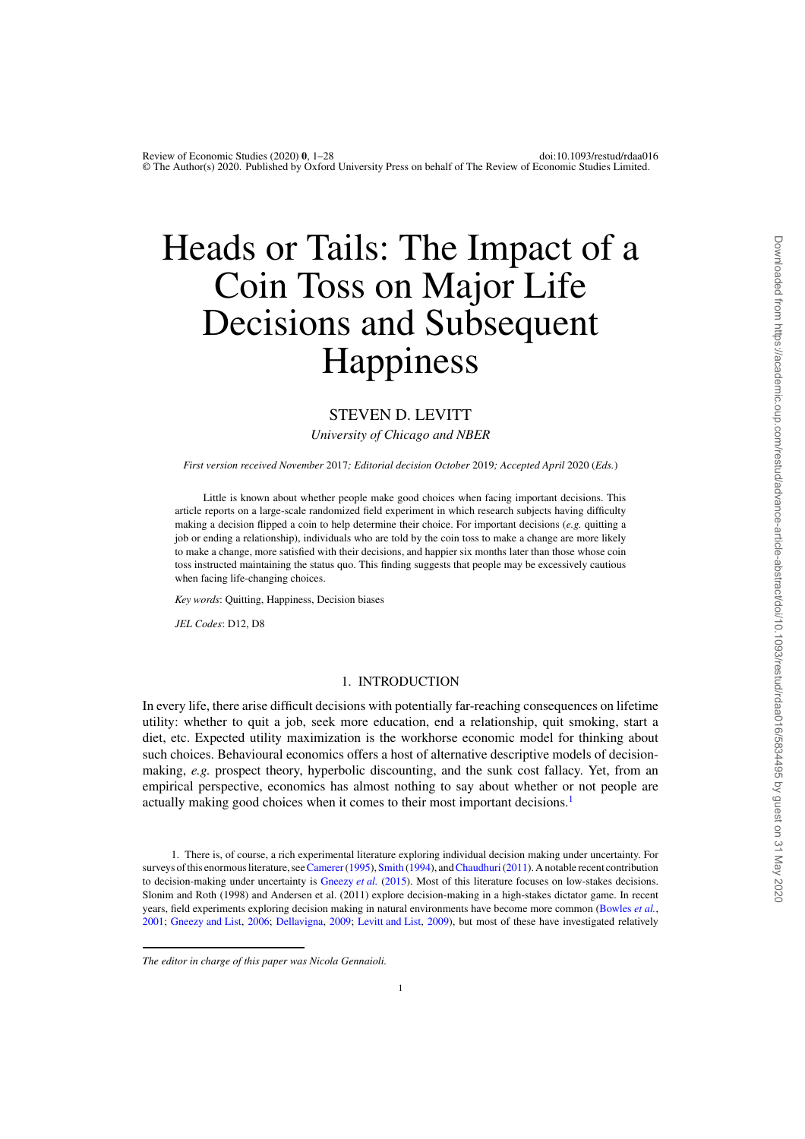Review of Economic Studies (2020) **0**, 1–28 doi:10.1093/restud/rdaa016 © The Author(s) 2020. Published by Oxford University Press on behalf of The Review of Economic Studies Limited.

# Heads or Tails: The Impact of a Coin Toss on Major Life Decisions and Subsequent Happiness

#### STEVEN D. LEVITT

*University of Chicago and NBER*

*First version received November* 2017*; Editorial decision October* 2019*; Accepted April* 2020 (*Eds.*)

Little is known about whether people make good choices when facing important decisions. This article reports on a large-scale randomized field experiment in which research subjects having difficulty making a decision flipped a coin to help determine their choice. For important decisions (*e.g.* quitting a job or ending a relationship), individuals who are told by the coin toss to make a change are more likely to make a change, more satisfied with their decisions, and happier six months later than those whose coin toss instructed maintaining the status quo. This finding suggests that people may be excessively cautious when facing life-changing choices.

*Key words*: Quitting, Happiness, Decision biases

*JEL Codes*: D12, D8

#### 1. INTRODUCTION

In every life, there arise difficult decisions with potentially far-reaching consequences on lifetime utility: whether to quit a job, seek more education, end a relationship, quit smoking, start a diet, etc. Expected utility maximization is the workhorse economic model for thinking about such choices. Behavioural economics offers a host of alternative descriptive models of decisionmaking, *e.g.* prospect theory, hyperbolic discounting, and the sunk cost fallacy. Yet, from an empirical perspective, economics has almost nothing to say about whether or not people are actually making good choices when it comes to their most important decisions.<sup>1</sup>

1. There is, of course, a rich experimental literature exploring individual decision making under uncertainty. For surveys of this enormous literature, see Camerer (1995), Smith (1994), and Chaudhuri (2011). A notable recent contribution to decision-making under uncertainty is Gneezy *et al.* (2015). Most of this literature focuses on low-stakes decisions. Slonim and Roth (1998) and Andersen et al. (2011) explore decision-making in a high-stakes dictator game. In recent years, field experiments exploring decision making in natural environments have become more common (Bowles *et al.*, 2001; Gneezy and List, 2006; Dellavigna, 2009; Levitt and List, 2009), but most of these have investigated relatively

*The editor in charge of this paper was Nicola Gennaioli.*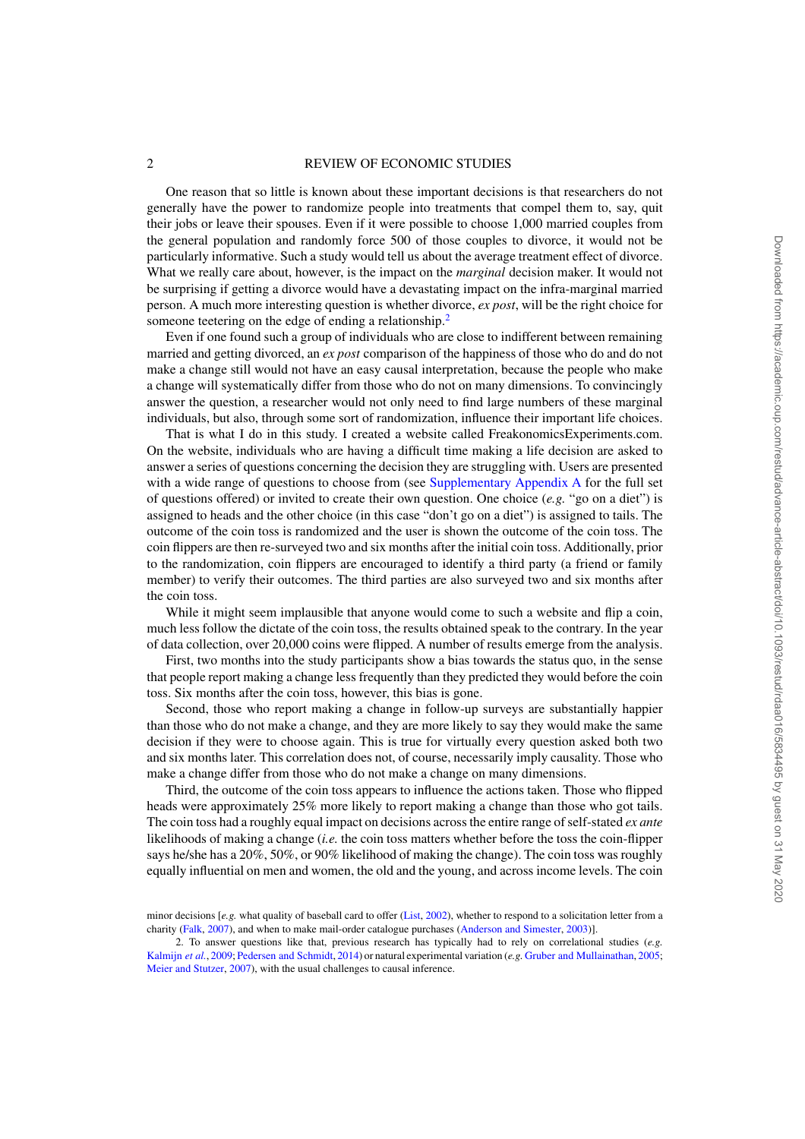One reason that so little is known about these important decisions is that researchers do not generally have the power to randomize people into treatments that compel them to, say, quit their jobs or leave their spouses. Even if it were possible to choose 1,000 married couples from the general population and randomly force 500 of those couples to divorce, it would not be particularly informative. Such a study would tell us about the average treatment effect of divorce. What we really care about, however, is the impact on the *marginal* decision maker. It would not be surprising if getting a divorce would have a devastating impact on the infra-marginal married person. A much more interesting question is whether divorce, *ex post*, will be the right choice for someone teetering on the edge of ending a relationship.<sup>2</sup>

Even if one found such a group of individuals who are close to indifferent between remaining married and getting divorced, an *ex post* comparison of the happiness of those who do and do not make a change still would not have an easy causal interpretation, because the people who make a change will systematically differ from those who do not on many dimensions. To convincingly answer the question, a researcher would not only need to find large numbers of these marginal individuals, but also, through some sort of randomization, influence their important life choices.

That is what I do in this study. I created a website called FreakonomicsExperiments.com. On the website, individuals who are having a difficult time making a life decision are asked to answer a series of questions concerning the decision they are struggling with. Users are presented with a wide range of questions to choose from (see Supplementary Appendix A for the full set of questions offered) or invited to create their own question. One choice (*e.g.* "go on a diet") is assigned to heads and the other choice (in this case "don't go on a diet") is assigned to tails. The outcome of the coin toss is randomized and the user is shown the outcome of the coin toss. The coin flippers are then re-surveyed two and six months after the initial coin toss. Additionally, prior to the randomization, coin flippers are encouraged to identify a third party (a friend or family member) to verify their outcomes. The third parties are also surveyed two and six months after the coin toss.

While it might seem implausible that anyone would come to such a website and flip a coin, much less follow the dictate of the coin toss, the results obtained speak to the contrary. In the year of data collection, over 20,000 coins were flipped. A number of results emerge from the analysis.

First, two months into the study participants show a bias towards the status quo, in the sense that people report making a change less frequently than they predicted they would before the coin toss. Six months after the coin toss, however, this bias is gone.

Second, those who report making a change in follow-up surveys are substantially happier than those who do not make a change, and they are more likely to say they would make the same decision if they were to choose again. This is true for virtually every question asked both two and six months later. This correlation does not, of course, necessarily imply causality. Those who make a change differ from those who do not make a change on many dimensions.

Third, the outcome of the coin toss appears to influence the actions taken. Those who flipped heads were approximately 25% more likely to report making a change than those who got tails. The coin toss had a roughly equal impact on decisions across the entire range of self-stated *ex ante* likelihoods of making a change (*i.e.* the coin toss matters whether before the toss the coin-flipper says he/she has a 20%, 50%, or 90% likelihood of making the change). The coin toss was roughly equally influential on men and women, the old and the young, and across income levels. The coin

minor decisions [*e.g.* what quality of baseball card to offer (List, 2002), whether to respond to a solicitation letter from a charity (Falk, 2007), and when to make mail-order catalogue purchases (Anderson and Simester, 2003)].

<sup>2.</sup> To answer questions like that, previous research has typically had to rely on correlational studies (*e.g.* Kalmijn *et al.*, 2009; Pedersen and Schmidt, 2014) or natural experimental variation (*e.g.* Gruber and Mullainathan, 2005; Meier and Stutzer, 2007), with the usual challenges to causal inference.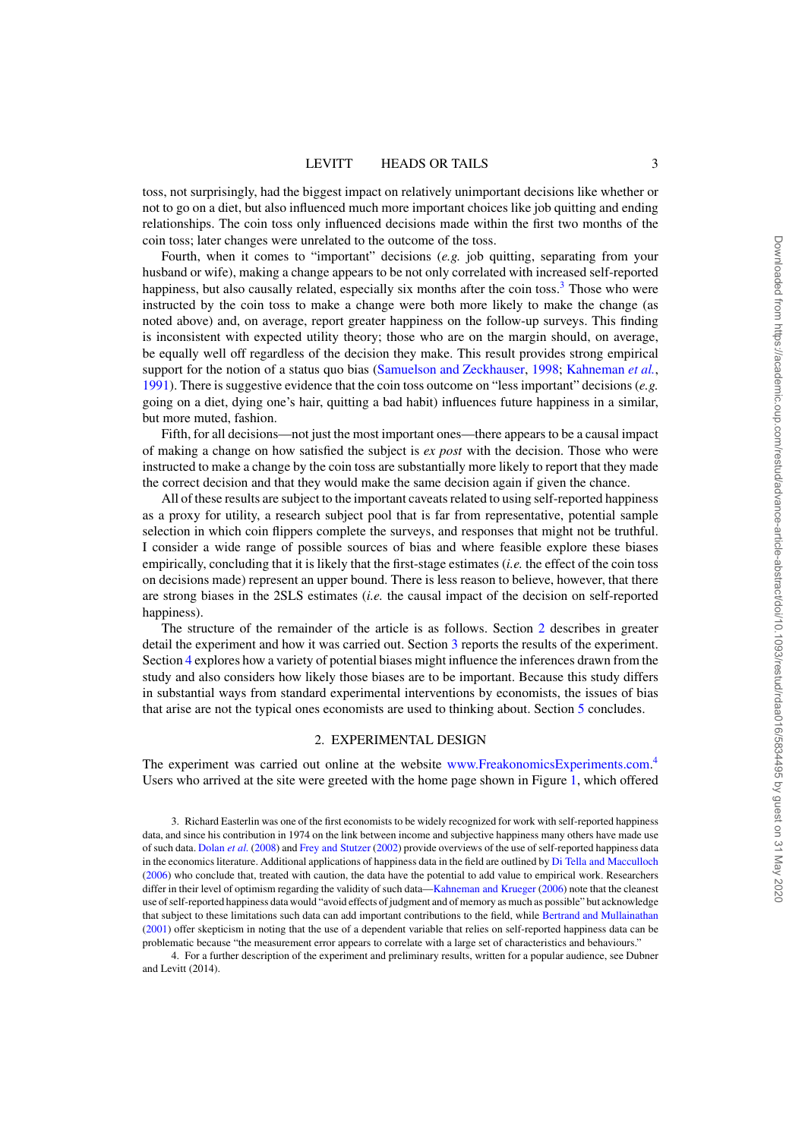toss, not surprisingly, had the biggest impact on relatively unimportant decisions like whether or not to go on a diet, but also influenced much more important choices like job quitting and ending relationships. The coin toss only influenced decisions made within the first two months of the coin toss; later changes were unrelated to the outcome of the toss.

Fourth, when it comes to "important" decisions (*e.g.* job quitting, separating from your husband or wife), making a change appears to be not only correlated with increased self-reported happiness, but also causally related, especially six months after the coin toss.<sup>3</sup> Those who were instructed by the coin toss to make a change were both more likely to make the change (as noted above) and, on average, report greater happiness on the follow-up surveys. This finding is inconsistent with expected utility theory; those who are on the margin should, on average, be equally well off regardless of the decision they make. This result provides strong empirical support for the notion of a status quo bias (Samuelson and Zeckhauser, 1998; Kahneman *et al.*, 1991). There is suggestive evidence that the coin toss outcome on "less important" decisions (*e.g.* going on a diet, dying one's hair, quitting a bad habit) influences future happiness in a similar, but more muted, fashion.

Fifth, for all decisions—not just the most important ones—there appears to be a causal impact of making a change on how satisfied the subject is *ex post* with the decision. Those who were instructed to make a change by the coin toss are substantially more likely to report that they made the correct decision and that they would make the same decision again if given the chance.

All of these results are subject to the important caveats related to using self-reported happiness as a proxy for utility, a research subject pool that is far from representative, potential sample selection in which coin flippers complete the surveys, and responses that might not be truthful. I consider a wide range of possible sources of bias and where feasible explore these biases empirically, concluding that it is likely that the first-stage estimates (*i.e.* the effect of the coin toss on decisions made) represent an upper bound. There is less reason to believe, however, that there are strong biases in the 2SLS estimates (*i.e.* the causal impact of the decision on self-reported happiness).

The structure of the remainder of the article is as follows. Section 2 describes in greater detail the experiment and how it was carried out. Section 3 reports the results of the experiment. Section 4 explores how a variety of potential biases might influence the inferences drawn from the study and also considers how likely those biases are to be important. Because this study differs in substantial ways from standard experimental interventions by economists, the issues of bias that arise are not the typical ones economists are used to thinking about. Section 5 concludes.

#### 2. EXPERIMENTAL DESIGN

The experiment was carried out online at the website www.FreakonomicsExperiments.com.<sup>4</sup> Users who arrived at the site were greeted with the home page shown in Figure 1, which offered

4. For a further description of the experiment and preliminary results, written for a popular audience, see Dubner and Levitt (2014).

<sup>3.</sup> Richard Easterlin was one of the first economists to be widely recognized for work with self-reported happiness data, and since his contribution in 1974 on the link between income and subjective happiness many others have made use of such data. Dolan *et al.* (2008) and Frey and Stutzer (2002) provide overviews of the use of self-reported happiness data in the economics literature. Additional applications of happiness data in the field are outlined by Di Tella and Macculloch (2006) who conclude that, treated with caution, the data have the potential to add value to empirical work. Researchers differ in their level of optimism regarding the validity of such data—Kahneman and Krueger (2006) note that the cleanest use of self-reported happiness data would "avoid effects of judgment and of memory as much as possible" but acknowledge that subject to these limitations such data can add important contributions to the field, while Bertrand and Mullainathan (2001) offer skepticism in noting that the use of a dependent variable that relies on self-reported happiness data can be problematic because "the measurement error appears to correlate with a large set of characteristics and behaviours."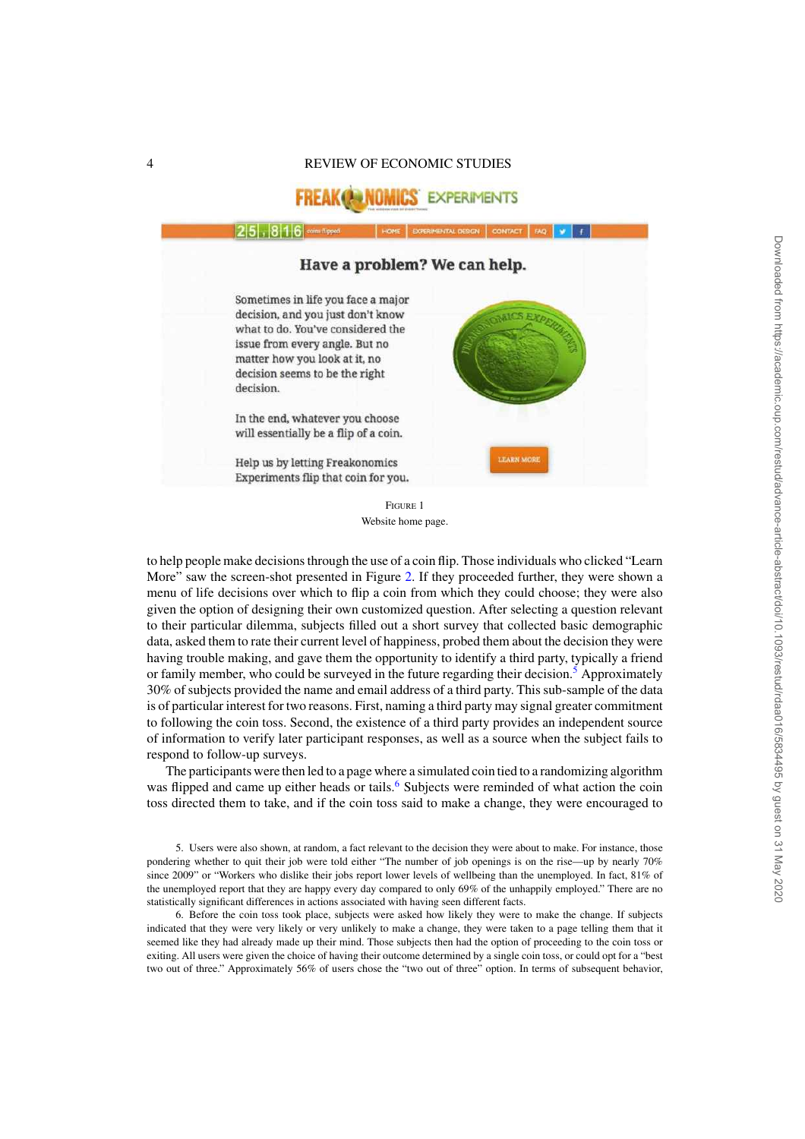#### **FREAK® NUMICS EXPERIMENTS**

25,816

## Have a problem? We can help.



Figure 1 Website home page.

to help people make decisions through the use of a coin flip. Those individuals who clicked "Learn More" saw the screen-shot presented in Figure 2. If they proceeded further, they were shown a menu of life decisions over which to flip a coin from which they could choose; they were also given the option of designing their own customized question. After selecting a question relevant to their particular dilemma, subjects filled out a short survey that collected basic demographic data, asked them to rate their current level of happiness, probed them about the decision they were having trouble making, and gave them the opportunity to identify a third party, typically a friend or family member, who could be surveyed in the future regarding their decision.<sup>5</sup> Approximately 30% of subjects provided the name and email address of a third party. This sub-sample of the data is of particular interest for two reasons. First, naming a third party may signal greater commitment to following the coin toss. Second, the existence of a third party provides an independent source of information to verify later participant responses, as well as a source when the subject fails to respond to follow-up surveys.

The participants were then led to a page where a simulated coin tied to a randomizing algorithm was flipped and came up either heads or tails.<sup>6</sup> Subjects were reminded of what action the coin toss directed them to take, and if the coin toss said to make a change, they were encouraged to

5. Users were also shown, at random, a fact relevant to the decision they were about to make. For instance, those pondering whether to quit their job were told either "The number of job openings is on the rise—up by nearly 70% since 2009" or "Workers who dislike their jobs report lower levels of wellbeing than the unemployed. In fact, 81% of the unemployed report that they are happy every day compared to only 69% of the unhappily employed." There are no statistically significant differences in actions associated with having seen different facts.

6. Before the coin toss took place, subjects were asked how likely they were to make the change. If subjects indicated that they were very likely or very unlikely to make a change, they were taken to a page telling them that it seemed like they had already made up their mind. Those subjects then had the option of proceeding to the coin toss or exiting. All users were given the choice of having their outcome determined by a single coin toss, or could opt for a "best two out of three." Approximately 56% of users chose the "two out of three" option. In terms of subsequent behavior,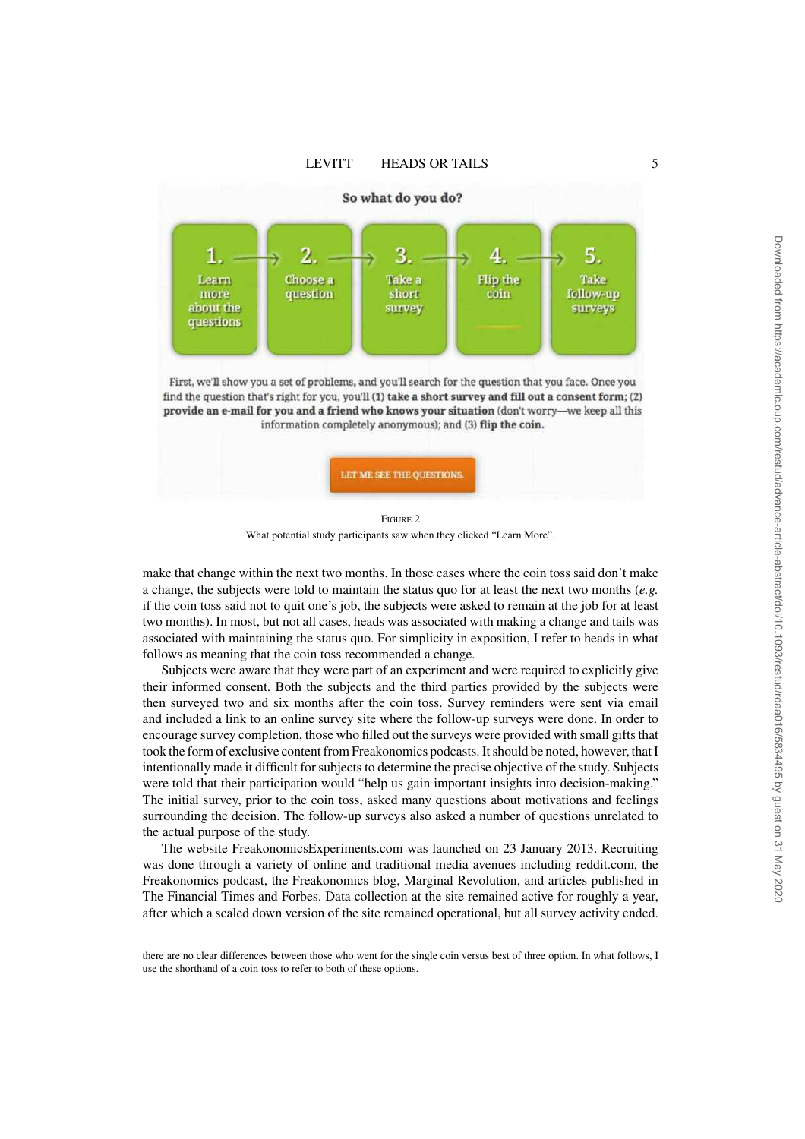#### LEVITT HEADS OR TAILS 5



Figure 2 What potential study participants saw when they clicked "Learn More".

make that change within the next two months. In those cases where the coin toss said don't make a change, the subjects were told to maintain the status quo for at least the next two months (*e.g.* if the coin toss said not to quit one's job, the subjects were asked to remain at the job for at least two months). In most, but not all cases, heads was associated with making a change and tails was associated with maintaining the status quo. For simplicity in exposition, I refer to heads in what follows as meaning that the coin toss recommended a change.

Subjects were aware that they were part of an experiment and were required to explicitly give their informed consent. Both the subjects and the third parties provided by the subjects were then surveyed two and six months after the coin toss. Survey reminders were sent via email and included a link to an online survey site where the follow-up surveys were done. In order to encourage survey completion, those who filled out the surveys were provided with small gifts that took the form of exclusive content from Freakonomics podcasts. It should be noted, however, that I intentionally made it difficult for subjects to determine the precise objective of the study. Subjects were told that their participation would "help us gain important insights into decision-making." The initial survey, prior to the coin toss, asked many questions about motivations and feelings surrounding the decision. The follow-up surveys also asked a number of questions unrelated to the actual purpose of the study.

The website FreakonomicsExperiments.com was launched on 23 January 2013. Recruiting was done through a variety of online and traditional media avenues including reddit.com, the Freakonomics podcast, the Freakonomics blog, Marginal Revolution, and articles published in The Financial Times and Forbes. Data collection at the site remained active for roughly a year, after which a scaled down version of the site remained operational, but all survey activity ended.

there are no clear differences between those who went for the single coin versus best of three option. In what follows, I use the shorthand of a coin toss to refer to both of these options.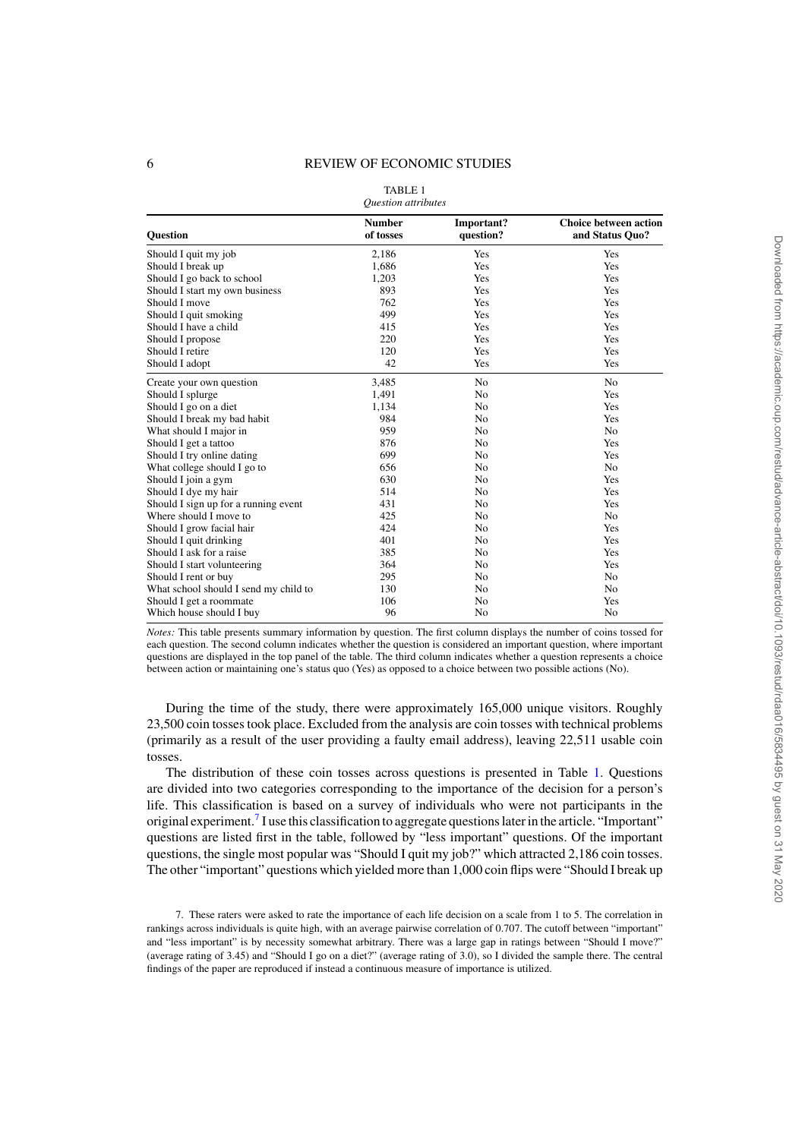| TABLE 1             |
|---------------------|
| Question attributes |

| <b>Question</b>                       | <b>Number</b><br>of tosses | Important?<br>question? | <b>Choice between action</b><br>and Status Quo? |
|---------------------------------------|----------------------------|-------------------------|-------------------------------------------------|
| Should I quit my job                  | 2,186                      | Yes                     | Yes                                             |
| Should I break up                     | 1,686                      | Yes                     | Yes                                             |
| Should I go back to school            | 1,203                      | Yes                     | Yes                                             |
| Should I start my own business        | 893                        | Yes                     | Yes                                             |
| Should I move                         | 762                        | Yes                     | Yes                                             |
| Should I quit smoking                 | 499                        | Yes                     | Yes                                             |
| Should I have a child                 | 415                        | Yes                     | Yes                                             |
| Should I propose                      | 220                        | Yes                     | Yes                                             |
| Should I retire                       | 120                        | Yes                     | Yes                                             |
| Should I adopt                        | 42                         | Yes                     | Yes                                             |
| Create your own question              | 3,485                      | N <sub>0</sub>          | N <sub>0</sub>                                  |
| Should I splurge                      | 1,491                      | N <sub>0</sub>          | Yes                                             |
| Should I go on a diet                 | 1,134                      | N <sub>0</sub>          | Yes                                             |
| Should I break my bad habit           | 984                        | N <sub>0</sub>          | Yes                                             |
| What should I major in                | 959                        | N <sub>0</sub>          | N <sub>o</sub>                                  |
| Should I get a tattoo                 | 876                        | N <sub>0</sub>          | Yes                                             |
| Should I try online dating            | 699                        | N <sub>0</sub>          | Yes                                             |
| What college should I go to           | 656                        | N <sub>0</sub>          | N <sub>0</sub>                                  |
| Should I join a gym                   | 630                        | N <sub>0</sub>          | Yes                                             |
| Should I dye my hair                  | 514                        | N <sub>0</sub>          | Yes                                             |
| Should I sign up for a running event  | 431                        | N <sub>0</sub>          | Yes                                             |
| Where should I move to                | 425                        | N <sub>0</sub>          | N <sub>0</sub>                                  |
| Should I grow facial hair             | 424                        | N <sub>0</sub>          | Yes                                             |
| Should I quit drinking                | 401                        | N <sub>0</sub>          | Yes                                             |
| Should I ask for a raise              | 385                        | N <sub>0</sub>          | Yes                                             |
| Should I start volunteering           | 364                        | No                      | Yes                                             |
| Should I rent or buy                  | 295                        | N <sub>0</sub>          | N <sub>o</sub>                                  |
| What school should I send my child to | 130                        | N <sub>0</sub>          | N <sub>0</sub>                                  |
| Should I get a roommate               | 106                        | N <sub>0</sub>          | Yes                                             |
| Which house should I buy              | 96                         | No                      | N <sub>0</sub>                                  |

*Notes:* This table presents summary information by question. The first column displays the number of coins tossed for each question. The second column indicates whether the question is considered an important question, where important questions are displayed in the top panel of the table. The third column indicates whether a question represents a choice between action or maintaining one's status quo (Yes) as opposed to a choice between two possible actions (No).

During the time of the study, there were approximately 165,000 unique visitors. Roughly 23,500 coin tosses took place. Excluded from the analysis are coin tosses with technical problems (primarily as a result of the user providing a faulty email address), leaving 22,511 usable coin tosses.

The distribution of these coin tosses across questions is presented in Table 1. Questions are divided into two categories corresponding to the importance of the decision for a person's life. This classification is based on a survey of individuals who were not participants in the original experiment.<sup>7</sup> I use this classification to aggregate questions later in the article. "Important" questions are listed first in the table, followed by "less important" questions. Of the important questions, the single most popular was "Should I quit my job?" which attracted 2,186 coin tosses. The other "important" questions which yielded more than 1,000 coin flips were "Should I break up

7. These raters were asked to rate the importance of each life decision on a scale from 1 to 5. The correlation in rankings across individuals is quite high, with an average pairwise correlation of 0.707. The cutoff between "important" and "less important" is by necessity somewhat arbitrary. There was a large gap in ratings between "Should I move?" (average rating of 3.45) and "Should I go on a diet?" (average rating of 3.0), so I divided the sample there. The central findings of the paper are reproduced if instead a continuous measure of importance is utilized.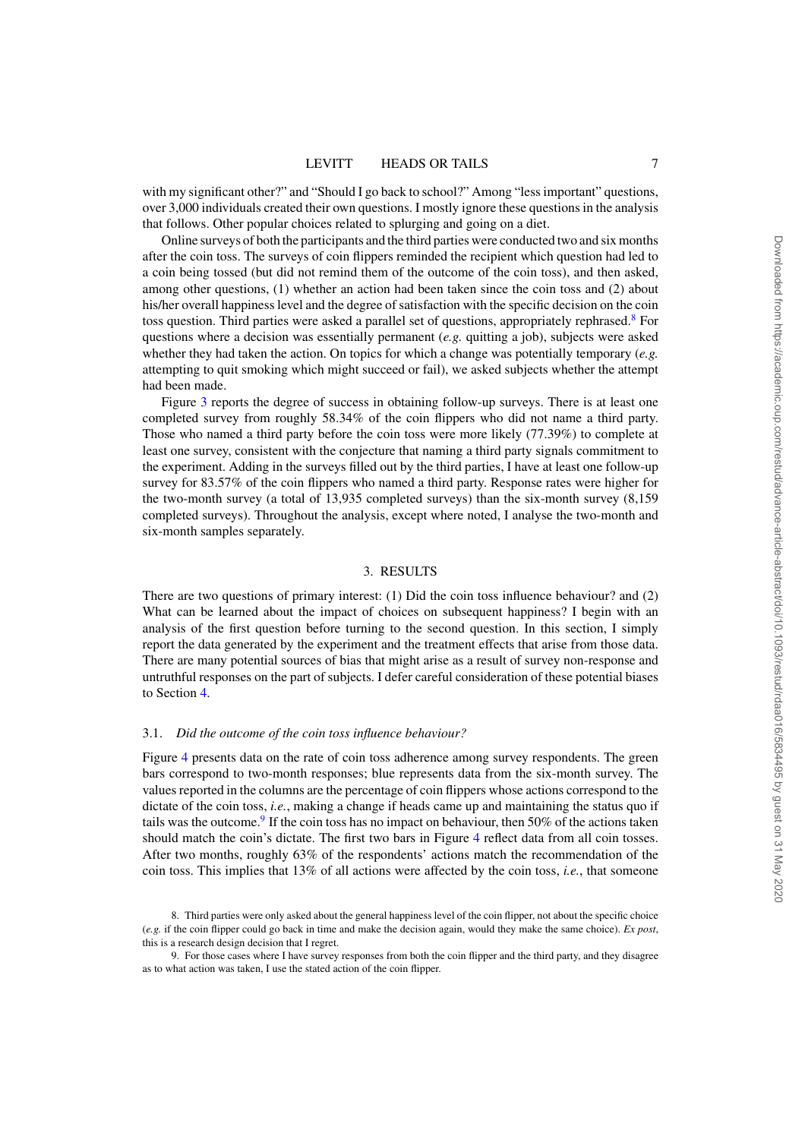with my significant other?" and "Should I go back to school?" Among "less important" questions, over 3,000 individuals created their own questions. I mostly ignore these questions in the analysis that follows. Other popular choices related to splurging and going on a diet.

Online surveys of both the participants and the third parties were conducted two and six months after the coin toss. The surveys of coin flippers reminded the recipient which question had led to a coin being tossed (but did not remind them of the outcome of the coin toss), and then asked, among other questions, (1) whether an action had been taken since the coin toss and (2) about his/her overall happiness level and the degree of satisfaction with the specific decision on the coin toss question. Third parties were asked a parallel set of questions, appropriately rephrased.<sup>8</sup> For questions where a decision was essentially permanent (*e.g.* quitting a job), subjects were asked whether they had taken the action. On topics for which a change was potentially temporary (*e.g.* attempting to quit smoking which might succeed or fail), we asked subjects whether the attempt had been made.

Figure 3 reports the degree of success in obtaining follow-up surveys. There is at least one completed survey from roughly 58.34% of the coin flippers who did not name a third party. Those who named a third party before the coin toss were more likely (77.39%) to complete at least one survey, consistent with the conjecture that naming a third party signals commitment to the experiment. Adding in the surveys filled out by the third parties, I have at least one follow-up survey for 83.57% of the coin flippers who named a third party. Response rates were higher for the two-month survey (a total of 13,935 completed surveys) than the six-month survey (8,159 completed surveys). Throughout the analysis, except where noted, I analyse the two-month and six-month samples separately.

#### 3. RESULTS

There are two questions of primary interest: (1) Did the coin toss influence behaviour? and (2) What can be learned about the impact of choices on subsequent happiness? I begin with an analysis of the first question before turning to the second question. In this section, I simply report the data generated by the experiment and the treatment effects that arise from those data. There are many potential sources of bias that might arise as a result of survey non-response and untruthful responses on the part of subjects. I defer careful consideration of these potential biases to Section 4.

#### 3.1. *Did the outcome of the coin toss influence behaviour?*

Figure 4 presents data on the rate of coin toss adherence among survey respondents. The green bars correspond to two-month responses; blue represents data from the six-month survey. The values reported in the columns are the percentage of coin flippers whose actions correspond to the dictate of the coin toss, *i.e.*, making a change if heads came up and maintaining the status quo if tails was the outcome.<sup>9</sup> If the coin toss has no impact on behaviour, then 50% of the actions taken should match the coin's dictate. The first two bars in Figure 4 reflect data from all coin tosses. After two months, roughly 63% of the respondents' actions match the recommendation of the coin toss. This implies that 13% of all actions were affected by the coin toss, *i.e.*, that someone

<sup>8.</sup> Third parties were only asked about the general happiness level of the coin flipper, not about the specific choice (*e.g.* if the coin flipper could go back in time and make the decision again, would they make the same choice). *Ex post*, this is a research design decision that I regret.

<sup>9.</sup> For those cases where I have survey responses from both the coin flipper and the third party, and they disagree as to what action was taken, I use the stated action of the coin flipper.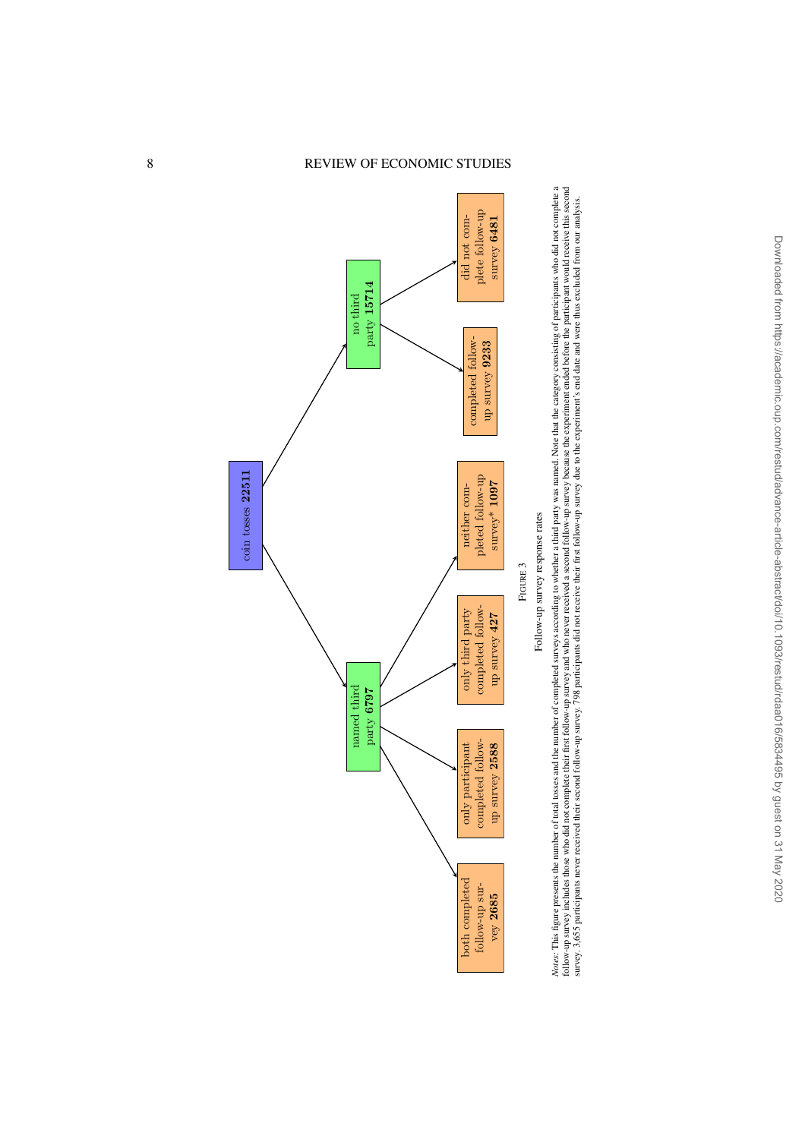

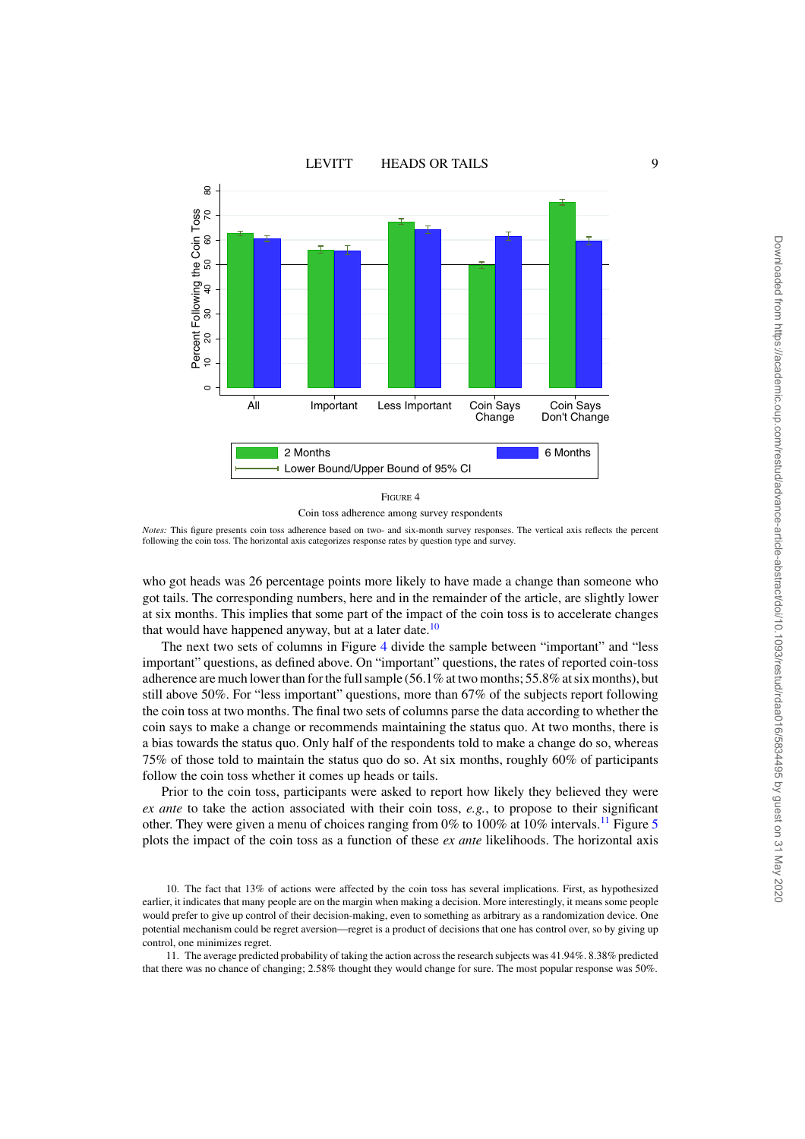#### LEVITT HEADS OR TAILS 9





*Notes:* This figure presents coin toss adherence based on two- and six-month survey responses. The vertical axis reflects the percent following the coin toss. The horizontal axis categorizes response rates by question type and survey.

who got heads was 26 percentage points more likely to have made a change than someone who got tails. The corresponding numbers, here and in the remainder of the article, are slightly lower at six months. This implies that some part of the impact of the coin toss is to accelerate changes that would have happened anyway, but at a later date.<sup>10</sup>

The next two sets of columns in Figure 4 divide the sample between "important" and "less important" questions, as defined above. On "important" questions, the rates of reported coin-toss adherence are much lower than for the full sample (56.1% at two months;  $55.8\%$  at six months), but still above 50%. For "less important" questions, more than 67% of the subjects report following the coin toss at two months. The final two sets of columns parse the data according to whether the coin says to make a change or recommends maintaining the status quo. At two months, there is a bias towards the status quo. Only half of the respondents told to make a change do so, whereas 75% of those told to maintain the status quo do so. At six months, roughly 60% of participants follow the coin toss whether it comes up heads or tails.

Prior to the coin toss, participants were asked to report how likely they believed they were *ex ante* to take the action associated with their coin toss, *e.g.*, to propose to their significant other. They were given a menu of choices ranging from 0% to 100% at 10% intervals.<sup>11</sup> Figure 5 plots the impact of the coin toss as a function of these *ex ante* likelihoods. The horizontal axis

10. The fact that 13% of actions were affected by the coin toss has several implications. First, as hypothesized earlier, it indicates that many people are on the margin when making a decision. More interestingly, it means some people would prefer to give up control of their decision-making, even to something as arbitrary as a randomization device. One potential mechanism could be regret aversion—regret is a product of decisions that one has control over, so by giving up control, one minimizes regret.

11. The average predicted probability of taking the action across the research subjects was 41.94%. 8.38% predicted that there was no chance of changing; 2.58% thought they would change for sure. The most popular response was 50%.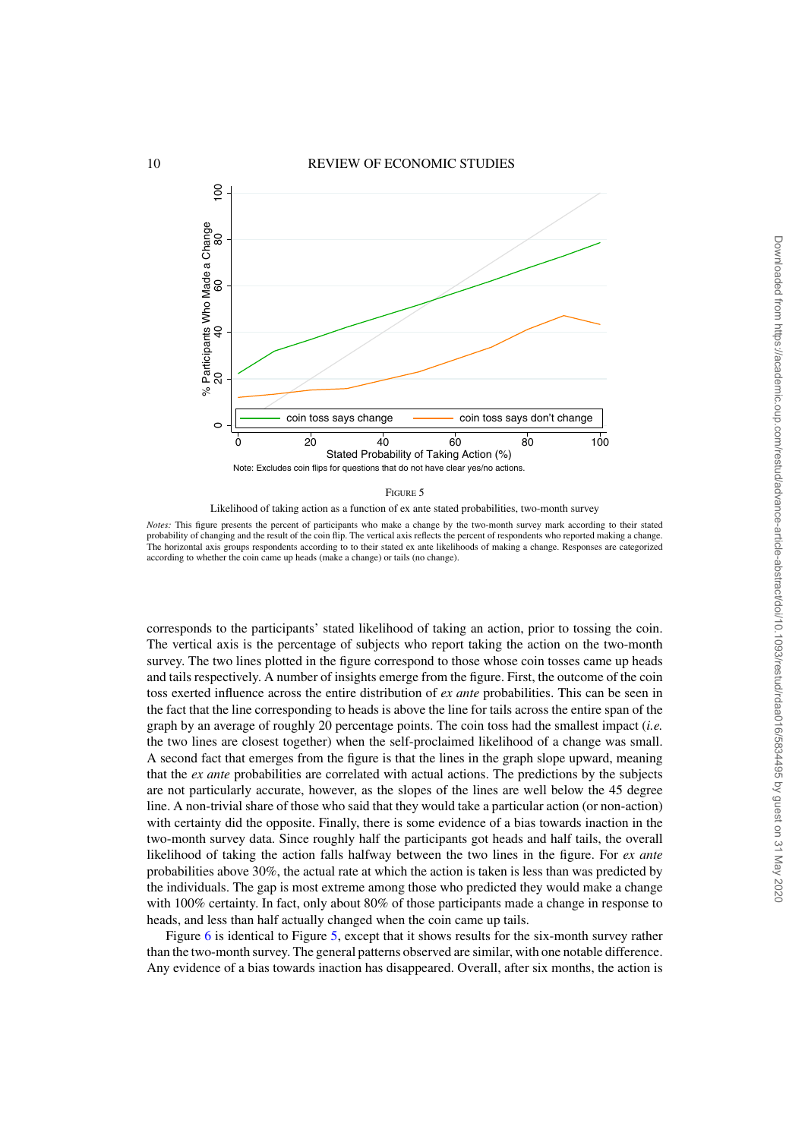

Figure 5

Likelihood of taking action as a function of ex ante stated probabilities, two-month survey

*Notes:* This figure presents the percent of participants who make a change by the two-month survey mark according to their stated probability of changing and the result of the coin flip. The vertical axis reflects the percent of respondents who reported making a change.<br>The horizontal axis groups respondents according to to their stated ex ante likel according to whether the coin came up heads (make a change) or tails (no change).

corresponds to the participants' stated likelihood of taking an action, prior to tossing the coin. The vertical axis is the percentage of subjects who report taking the action on the two-month survey. The two lines plotted in the figure correspond to those whose coin tosses came up heads and tails respectively. A number of insights emerge from the figure. First, the outcome of the coin toss exerted influence across the entire distribution of *ex ante* probabilities. This can be seen in the fact that the line corresponding to heads is above the line for tails across the entire span of the graph by an average of roughly 20 percentage points. The coin toss had the smallest impact (*i.e.* the two lines are closest together) when the self-proclaimed likelihood of a change was small. A second fact that emerges from the figure is that the lines in the graph slope upward, meaning that the *ex ante* probabilities are correlated with actual actions. The predictions by the subjects are not particularly accurate, however, as the slopes of the lines are well below the 45 degree line. A non-trivial share of those who said that they would take a particular action (or non-action) with certainty did the opposite. Finally, there is some evidence of a bias towards inaction in the two-month survey data. Since roughly half the participants got heads and half tails, the overall likelihood of taking the action falls halfway between the two lines in the figure. For *ex ante* probabilities above 30%, the actual rate at which the action is taken is less than was predicted by the individuals. The gap is most extreme among those who predicted they would make a change with 100% certainty. In fact, only about 80% of those participants made a change in response to heads, and less than half actually changed when the coin came up tails.

Figure 6 is identical to Figure 5, except that it shows results for the six-month survey rather than the two-month survey. The general patterns observed are similar, with one notable difference. Any evidence of a bias towards inaction has disappeared. Overall, after six months, the action is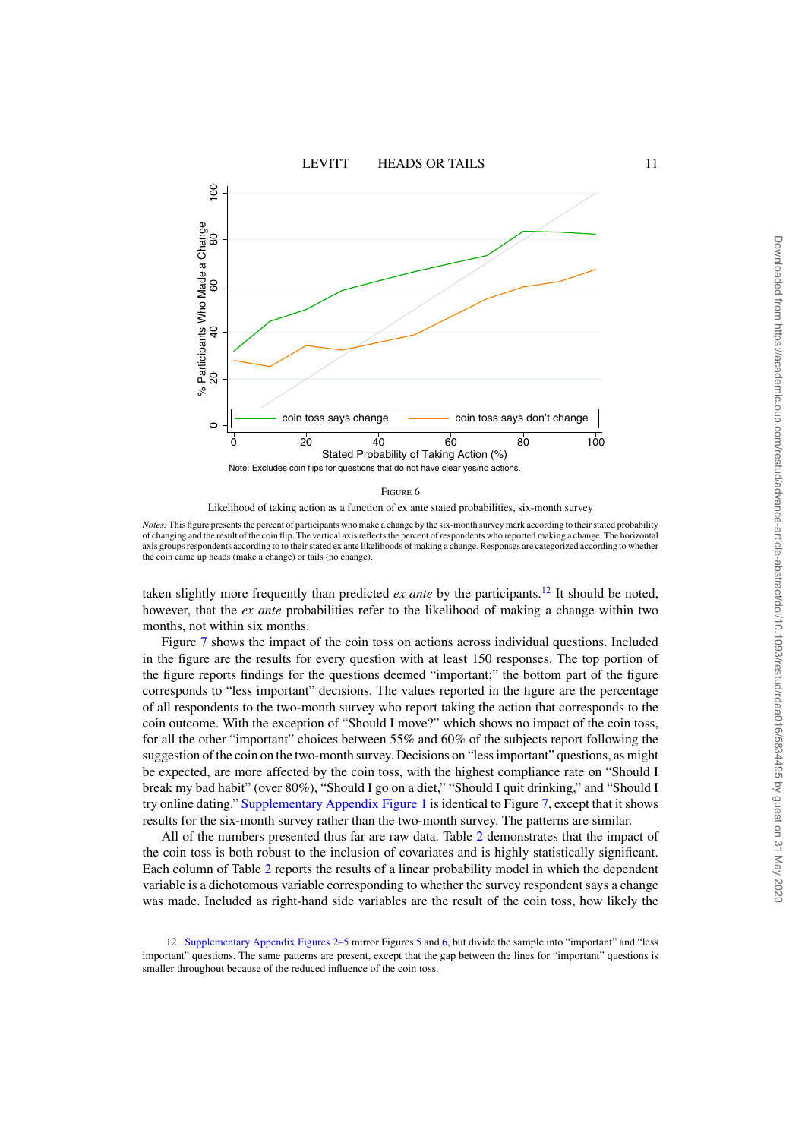

Figure 6 Likelihood of taking action as a function of ex ante stated probabilities, six-month survey

*Notes:* This figure presents the percent of participants who make a change by the six-month survey mark according to their stated probability of changing and the result of the coin flip. The vertical axis reflects the percent of respondents who reported making a change. The horizontal axis groups respondents according to to their stated ex ante likelihoods of making a change. Responses are categorized according to whether the coin came up heads (make a change) or tails (no change).

taken slightly more frequently than predicted *ex ante* by the participants.<sup>12</sup> It should be noted, however, that the *ex ante* probabilities refer to the likelihood of making a change within two months, not within six months.

Figure 7 shows the impact of the coin toss on actions across individual questions. Included in the figure are the results for every question with at least 150 responses. The top portion of the figure reports findings for the questions deemed "important;" the bottom part of the figure corresponds to "less important" decisions. The values reported in the figure are the percentage of all respondents to the two-month survey who report taking the action that corresponds to the coin outcome. With the exception of "Should I move?" which shows no impact of the coin toss, for all the other "important" choices between 55% and 60% of the subjects report following the suggestion of the coin on the two-month survey. Decisions on "less important" questions, as might be expected, are more affected by the coin toss, with the highest compliance rate on "Should I break my bad habit" (over 80%), "Should I go on a diet," "Should I quit drinking," and "Should I try online dating." Supplementary Appendix Figure 1 is identical to Figure 7, except that it shows results for the six-month survey rather than the two-month survey. The patterns are similar.

All of the numbers presented thus far are raw data. Table 2 demonstrates that the impact of the coin toss is both robust to the inclusion of covariates and is highly statistically significant. Each column of Table 2 reports the results of a linear probability model in which the dependent variable is a dichotomous variable corresponding to whether the survey respondent says a change was made. Included as right-hand side variables are the result of the coin toss, how likely the

<sup>12.</sup> Supplementary Appendix Figures 2–5 mirror Figures 5 and 6, but divide the sample into "important" and "less important" questions. The same patterns are present, except that the gap between the lines for "important" questions is smaller throughout because of the reduced influence of the coin toss.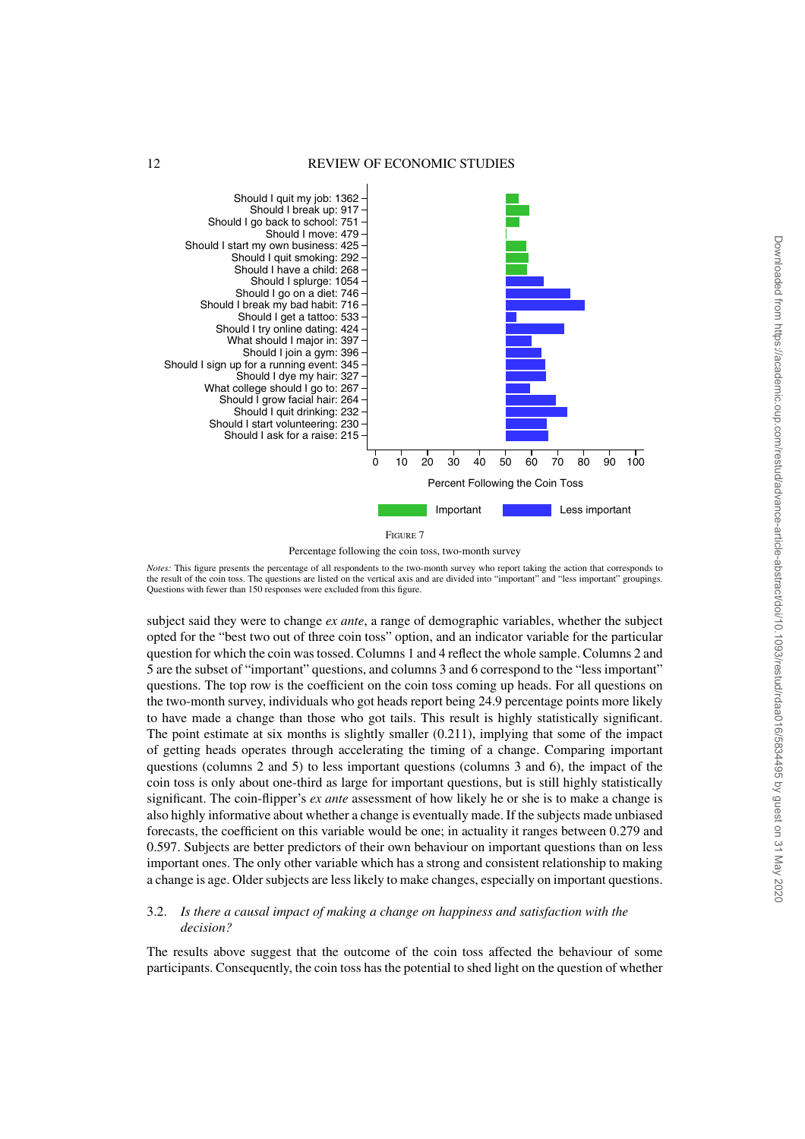

Figure 7

Percentage following the coin toss, two-month survey

*Notes:* This figure presents the percentage of all respondents to the two-month survey who report taking the action that corresponds to the result of the coin toss. The questions are listed on the vertical axis and are divided into "important" and "less important" groupings. Questions with fewer than 150 responses were excluded from this figure.

subject said they were to change *ex ante*, a range of demographic variables, whether the subject opted for the "best two out of three coin toss" option, and an indicator variable for the particular question for which the coin was tossed. Columns 1 and 4 reflect the whole sample. Columns 2 and 5 are the subset of "important" questions, and columns 3 and 6 correspond to the "less important" questions. The top row is the coefficient on the coin toss coming up heads. For all questions on the two-month survey, individuals who got heads report being 24.9 percentage points more likely to have made a change than those who got tails. This result is highly statistically significant. The point estimate at six months is slightly smaller (0.211), implying that some of the impact of getting heads operates through accelerating the timing of a change. Comparing important questions (columns 2 and 5) to less important questions (columns 3 and 6), the impact of the coin toss is only about one-third as large for important questions, but is still highly statistically significant. The coin-flipper's *ex ante* assessment of how likely he or she is to make a change is also highly informative about whether a change is eventually made. If the subjects made unbiased forecasts, the coefficient on this variable would be one; in actuality it ranges between 0.279 and 0.597. Subjects are better predictors of their own behaviour on important questions than on less important ones. The only other variable which has a strong and consistent relationship to making a change is age. Older subjects are less likely to make changes, especially on important questions.

#### 3.2. *Is there a causal impact of making a change on happiness and satisfaction with the decision?*

The results above suggest that the outcome of the coin toss affected the behaviour of some participants. Consequently, the coin toss has the potential to shed light on the question of whether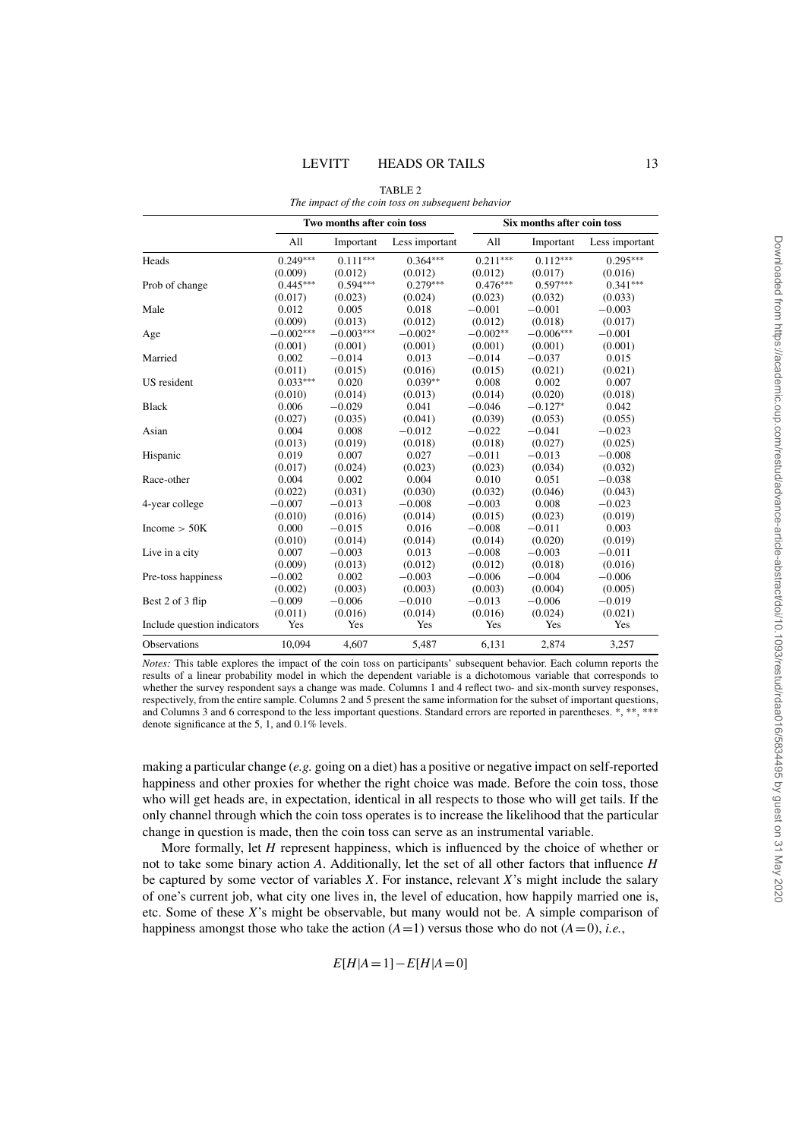TABLE 2

|                             |             |                            | The impact of the coin toss on subsequent behavior |            |                            |                |
|-----------------------------|-------------|----------------------------|----------------------------------------------------|------------|----------------------------|----------------|
|                             |             | Two months after coin toss |                                                    |            | Six months after coin toss |                |
|                             | All         | Important                  | Less important                                     | All        | Important                  | Less important |
| Heads                       | $0.249***$  | $0.111***$                 | $0.364***$                                         | $0.211***$ | $0.112***$                 | $0.295***$     |
|                             | (0.009)     | (0.012)                    | (0.012)                                            | (0.012)    | (0.017)                    | (0.016)        |
| Prob of change              | $0.445***$  | $0.594***$                 | $0.279***$                                         | $0.476***$ | $0.597***$                 | $0.341***$     |
|                             | (0.017)     | (0.023)                    | (0.024)                                            | (0.023)    | (0.032)                    | (0.033)        |
| Male                        | 0.012       | 0.005                      | 0.018                                              | $-0.001$   | $-0.001$                   | $-0.003$       |
|                             | (0.009)     | (0.013)                    | (0.012)                                            | (0.012)    | (0.018)                    | (0.017)        |
| Age                         | $-0.002***$ | $-0.003***$                | $-0.002*$                                          | $-0.002**$ | $-0.006***$                | $-0.001$       |
|                             | (0.001)     | (0.001)                    | (0.001)                                            | (0.001)    | (0.001)                    | (0.001)        |
| Married                     | 0.002       | $-0.014$                   | 0.013                                              | $-0.014$   | $-0.037$                   | 0.015          |
|                             | (0.011)     | (0.015)                    | (0.016)                                            | (0.015)    | (0.021)                    | (0.021)        |
| US resident                 | $0.033***$  | 0.020                      | $0.039**$                                          | 0.008      | 0.002                      | 0.007          |
|                             | (0.010)     | (0.014)                    | (0.013)                                            | (0.014)    | (0.020)                    | (0.018)        |
| <b>Black</b>                | 0.006       | $-0.029$                   | 0.041                                              | $-0.046$   | $-0.127*$                  | 0.042          |
|                             | (0.027)     | (0.035)                    | (0.041)                                            | (0.039)    | (0.053)                    | (0.055)        |
| Asian                       | 0.004       | 0.008                      | $-0.012$                                           | $-0.022$   | $-0.041$                   | $-0.023$       |
|                             | (0.013)     | (0.019)                    | (0.018)                                            | (0.018)    | (0.027)                    | (0.025)        |
| Hispanic                    | 0.019       | 0.007                      | 0.027                                              | $-0.011$   | $-0.013$                   | $-0.008$       |
|                             | (0.017)     | (0.024)                    | (0.023)                                            | (0.023)    | (0.034)                    | (0.032)        |
| Race-other                  | 0.004       | 0.002                      | 0.004                                              | 0.010      | 0.051                      | $-0.038$       |
|                             | (0.022)     | (0.031)                    | (0.030)                                            | (0.032)    | (0.046)                    | (0.043)        |
| 4-year college              | $-0.007$    | $-0.013$                   | $-0.008$                                           | $-0.003$   | 0.008                      | $-0.023$       |
|                             | (0.010)     | (0.016)                    | (0.014)                                            | (0.015)    | (0.023)                    | (0.019)        |
| Income $>$ 50K              | 0.000       | $-0.015$                   | 0.016                                              | $-0.008$   | $-0.011$                   | 0.003          |
|                             | (0.010)     | (0.014)                    | (0.014)                                            | (0.014)    | (0.020)                    | (0.019)        |
| Live in a city              | 0.007       | $-0.003$                   | 0.013                                              | $-0.008$   | $-0.003$                   | $-0.011$       |
|                             | (0.009)     | (0.013)                    | (0.012)                                            | (0.012)    | (0.018)                    | (0.016)        |
| Pre-toss happiness          | $-0.002$    | 0.002                      | $-0.003$                                           | $-0.006$   | $-0.004$                   | $-0.006$       |
|                             | (0.002)     | (0.003)                    | (0.003)                                            | (0.003)    | (0.004)                    | (0.005)        |
| Best 2 of 3 flip            | $-0.009$    | $-0.006$                   | $-0.010$                                           | $-0.013$   | $-0.006$                   | $-0.019$       |
|                             | (0.011)     | (0.016)                    | (0.014)                                            | (0.016)    | (0.024)                    | (0.021)        |
| Include question indicators | Yes         | Yes                        | Yes                                                | Yes        | Yes                        | Yes            |
| Observations                | 10,094      | 4,607                      | 5,487                                              | 6,131      | 2,874                      | 3,257          |

*Notes:* This table explores the impact of the coin toss on participants' subsequent behavior. Each column reports the results of a linear probability model in which the dependent variable is a dichotomous variable that corresponds to whether the survey respondent says a change was made. Columns 1 and 4 reflect two- and six-month survey responses, respectively, from the entire sample. Columns 2 and 5 present the same information for the subset of important questions, and Columns 3 and 6 correspond to the less important questions. Standard errors are reported in parentheses. \*, \*\*, \*\*\* denote significance at the 5, 1, and 0.1% levels.

making a particular change (*e.g.* going on a diet) has a positive or negative impact on self-reported happiness and other proxies for whether the right choice was made. Before the coin toss, those who will get heads are, in expectation, identical in all respects to those who will get tails. If the only channel through which the coin toss operates is to increase the likelihood that the particular change in question is made, then the coin toss can serve as an instrumental variable.

More formally, let *H* represent happiness, which is influenced by the choice of whether or not to take some binary action *A*. Additionally, let the set of all other factors that influence *H* be captured by some vector of variables *X*. For instance, relevant *X*'s might include the salary of one's current job, what city one lives in, the level of education, how happily married one is, etc. Some of these *X*'s might be observable, but many would not be. A simple comparison of happiness amongst those who take the action  $(A=1)$  versus those who do not  $(A=0)$ , *i.e.*,

*E*[*H*|*A*=1]−*E*[*H*|*A*=0]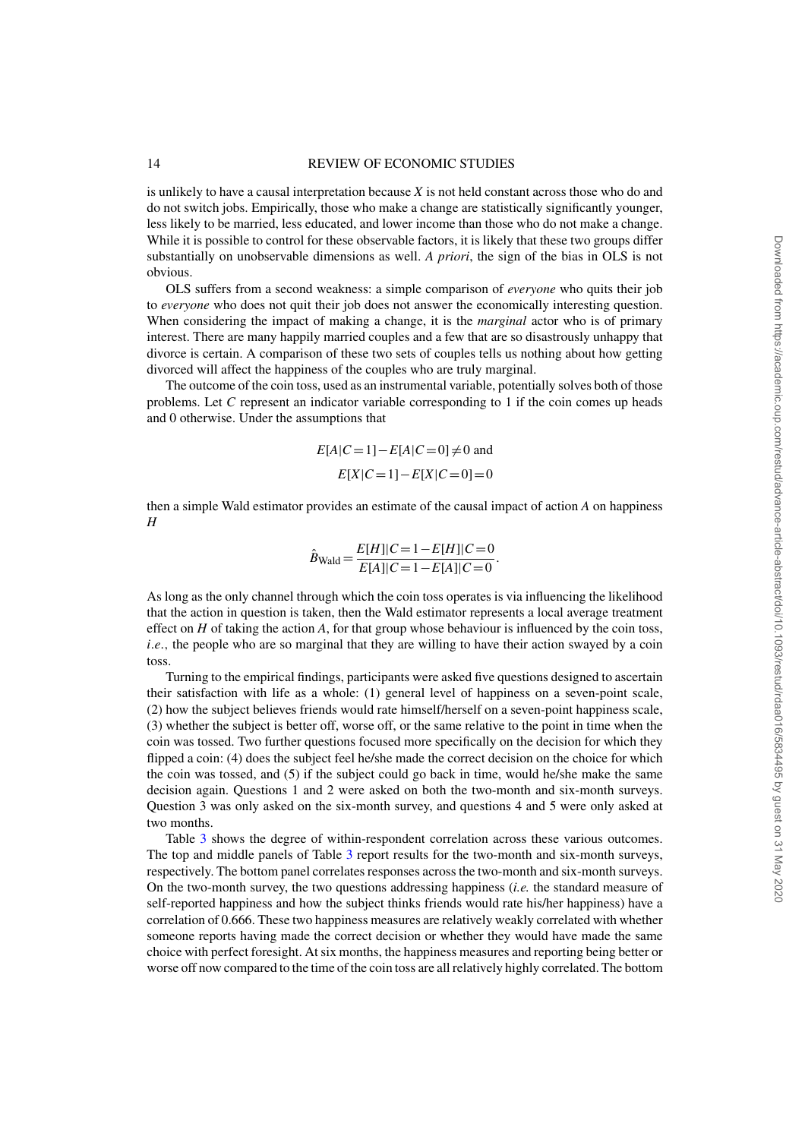is unlikely to have a causal interpretation because *X* is not held constant across those who do and do not switch jobs. Empirically, those who make a change are statistically significantly younger, less likely to be married, less educated, and lower income than those who do not make a change. While it is possible to control for these observable factors, it is likely that these two groups differ substantially on unobservable dimensions as well. *A priori*, the sign of the bias in OLS is not obvious.

OLS suffers from a second weakness: a simple comparison of *everyone* who quits their job to *everyone* who does not quit their job does not answer the economically interesting question. When considering the impact of making a change, it is the *marginal* actor who is of primary interest. There are many happily married couples and a few that are so disastrously unhappy that divorce is certain. A comparison of these two sets of couples tells us nothing about how getting divorced will affect the happiness of the couples who are truly marginal.

The outcome of the coin toss, used as an instrumental variable, potentially solves both of those problems. Let *C* represent an indicator variable corresponding to 1 if the coin comes up heads and 0 otherwise. Under the assumptions that

$$
E[A|C=1] - E[A|C=0] \neq 0
$$
 and  
 $E[X|C=1] - E[X|C=0] = 0$ 

then a simple Wald estimator provides an estimate of the causal impact of action *A* on happiness *H*

$$
\hat{B}_{\text{Wald}} = \frac{E[H]|C=1-E[H]|C=0}{E[A]|C=1-E[A]|C=0}.
$$

As long as the only channel through which the coin toss operates is via influencing the likelihood that the action in question is taken, then the Wald estimator represents a local average treatment effect on  $H$  of taking the action  $A$ , for that group whose behaviour is influenced by the coin toss, *i.e.*, the people who are so marginal that they are willing to have their action swayed by a coin toss.

Turning to the empirical findings, participants were asked five questions designed to ascertain their satisfaction with life as a whole: (1) general level of happiness on a seven-point scale, (2) how the subject believes friends would rate himself/herself on a seven-point happiness scale, (3) whether the subject is better off, worse off, or the same relative to the point in time when the coin was tossed. Two further questions focused more specifically on the decision for which they flipped a coin: (4) does the subject feel he/she made the correct decision on the choice for which the coin was tossed, and (5) if the subject could go back in time, would he/she make the same decision again. Questions 1 and 2 were asked on both the two-month and six-month surveys. Question 3 was only asked on the six-month survey, and questions 4 and 5 were only asked at two months.

Table 3 shows the degree of within-respondent correlation across these various outcomes. The top and middle panels of Table 3 report results for the two-month and six-month surveys, respectively. The bottom panel correlates responses across the two-month and six-month surveys. On the two-month survey, the two questions addressing happiness (*i.e.* the standard measure of self-reported happiness and how the subject thinks friends would rate his/her happiness) have a correlation of 0.666. These two happiness measures are relatively weakly correlated with whether someone reports having made the correct decision or whether they would have made the same choice with perfect foresight. At six months, the happiness measures and reporting being better or worse off now compared to the time of the coin toss are all relatively highly correlated. The bottom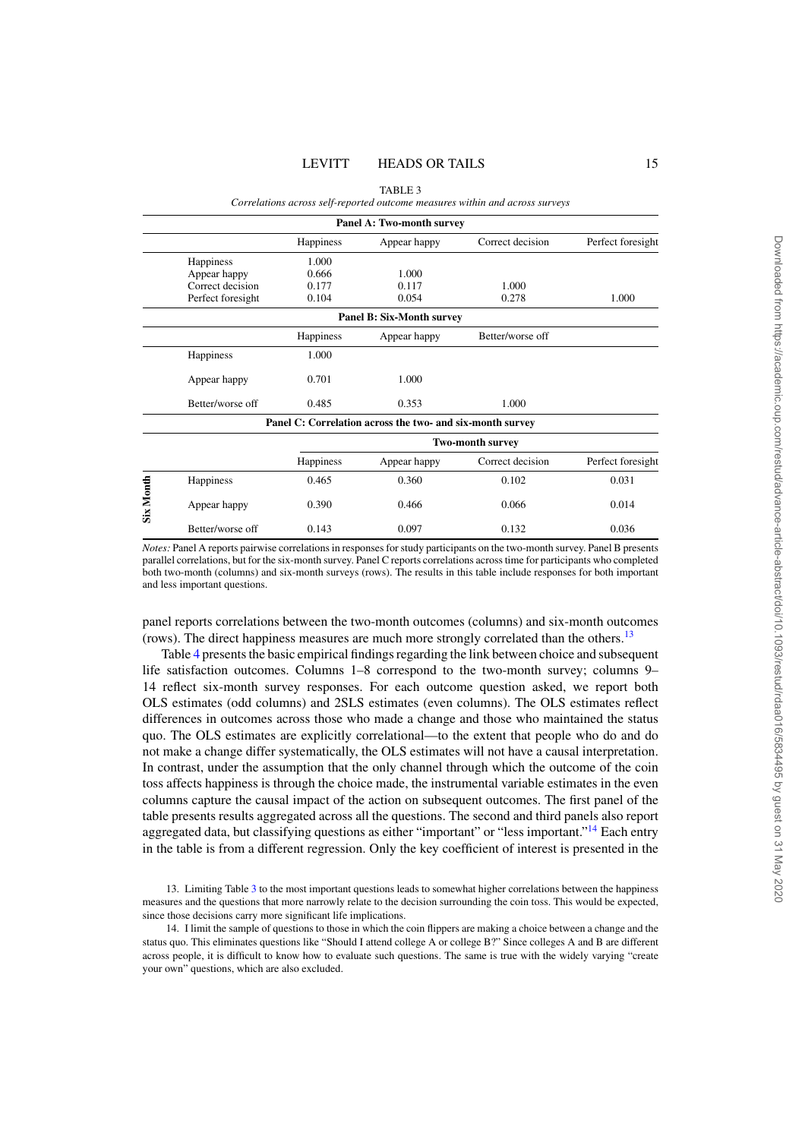TABLE 3

|                  |                   |           |                                                           | Correlations across self-reported outcome measures within and across surveys |                   |
|------------------|-------------------|-----------|-----------------------------------------------------------|------------------------------------------------------------------------------|-------------------|
|                  |                   |           | Panel A: Two-month survey                                 |                                                                              |                   |
|                  |                   | Happiness | Appear happy                                              | Correct decision                                                             | Perfect foresight |
|                  | Happiness         | 1.000     |                                                           |                                                                              |                   |
|                  | Appear happy      | 0.666     | 1.000                                                     |                                                                              |                   |
|                  | Correct decision  | 0.177     | 0.117                                                     | 1.000                                                                        |                   |
|                  | Perfect foresight | 0.104     | 0.054                                                     | 0.278                                                                        | 1.000             |
|                  |                   |           | <b>Panel B: Six-Month survey</b>                          |                                                                              |                   |
|                  |                   | Happiness | Appear happy                                              | Better/worse off                                                             |                   |
|                  | Happiness         | 1.000     |                                                           |                                                                              |                   |
|                  | Appear happy      | 0.701     | 1.000                                                     |                                                                              |                   |
|                  | Better/worse off  | 0.485     | 0.353                                                     | 1.000                                                                        |                   |
|                  |                   |           | Panel C: Correlation across the two- and six-month survey |                                                                              |                   |
|                  |                   |           |                                                           | <b>Two-month survey</b>                                                      |                   |
|                  |                   | Happiness | Appear happy                                              | Correct decision                                                             | Perfect foresight |
|                  | Happiness         | 0.465     | 0.360                                                     | 0.102                                                                        | 0.031             |
| <b>Six Month</b> | Appear happy      | 0.390     | 0.466                                                     | 0.066                                                                        | 0.014             |
|                  | Better/worse off  | 0.143     | 0.097                                                     | 0.132                                                                        | 0.036             |

*Notes:* Panel A reports pairwise correlations in responses for study participants on the two-month survey. Panel B presents parallel correlations, but for the six-month survey. Panel C reports correlations across time for participants who completed both two-month (columns) and six-month surveys (rows). The results in this table include responses for both important and less important questions.

panel reports correlations between the two-month outcomes (columns) and six-month outcomes (rows). The direct happiness measures are much more strongly correlated than the others.<sup>13</sup>

Table 4 presents the basic empirical findings regarding the link between choice and subsequent life satisfaction outcomes. Columns 1–8 correspond to the two-month survey; columns 9– 14 reflect six-month survey responses. For each outcome question asked, we report both OLS estimates (odd columns) and 2SLS estimates (even columns). The OLS estimates reflect differences in outcomes across those who made a change and those who maintained the status quo. The OLS estimates are explicitly correlational—to the extent that people who do and do not make a change differ systematically, the OLS estimates will not have a causal interpretation. In contrast, under the assumption that the only channel through which the outcome of the coin toss affects happiness is through the choice made, the instrumental variable estimates in the even columns capture the causal impact of the action on subsequent outcomes. The first panel of the table presents results aggregated across all the questions. The second and third panels also report aggregated data, but classifying questions as either "important" or "less important."<sup>14</sup> Each entry in the table is from a different regression. Only the key coefficient of interest is presented in the

13. Limiting Table 3 to the most important questions leads to somewhat higher correlations between the happiness measures and the questions that more narrowly relate to the decision surrounding the coin toss. This would be expected, since those decisions carry more significant life implications.

<sup>14.</sup> I limit the sample of questions to those in which the coin flippers are making a choice between a change and the status quo. This eliminates questions like "Should I attend college A or college B?" Since colleges A and B are different across people, it is difficult to know how to evaluate such questions. The same is true with the widely varying "create your own" questions, which are also excluded.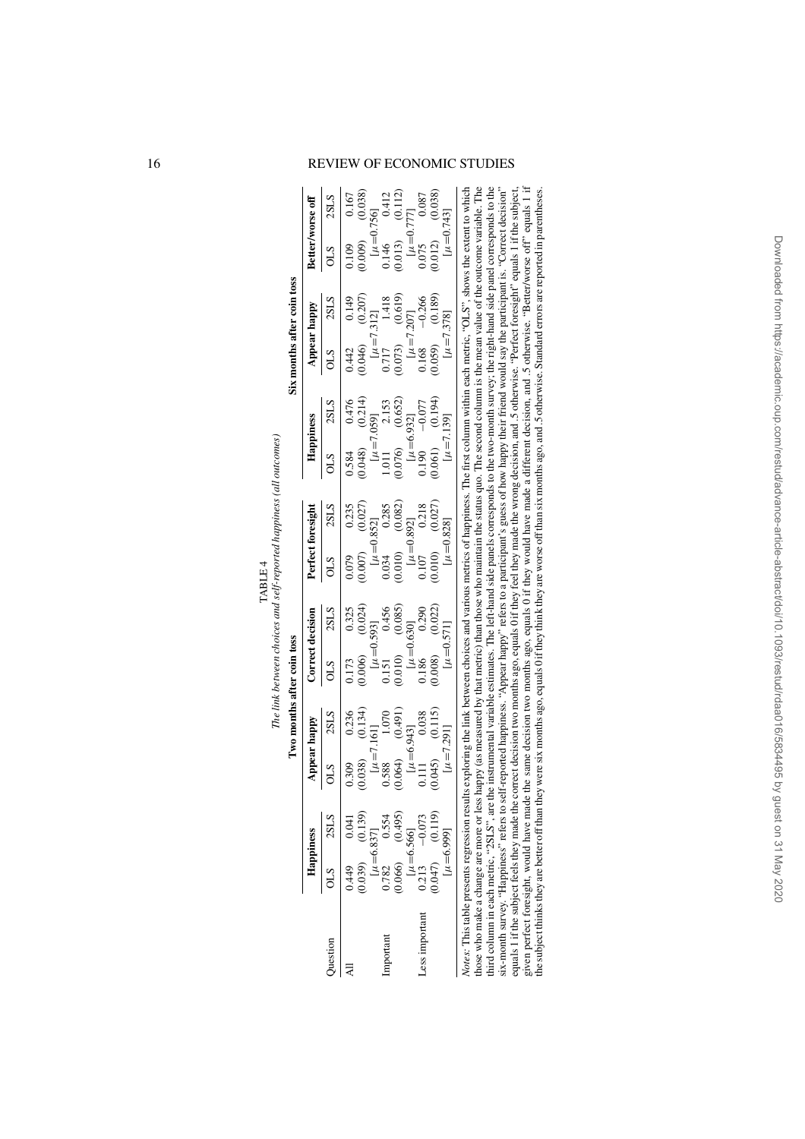|             | Š<br>$d$ all out                  |
|-------------|-----------------------------------|
|             | <b>ת הדרדה</b>                    |
| ٦,<br>TARIF | in choices and self-reported hor- |
|             | $\frac{1}{2}$                     |
|             |                                   |
|             | ink betwee                        |
|             |                                   |
|             | ļ.                                |

|                                                                                                                                                                                                                                                                                                                                                                                                                                                                                                                                                                                                                                                                                                                                                                                                                                                                                                                                                |                 |                                                         |                                                      | Two months after coin toss |                                                      |                  |                                                                                                                                                                                                                                                                                                                                                                                                                                      |                  |                                                       |                                   |                                                                                                     | Six months after coin toss      |                                                                             |                  |
|------------------------------------------------------------------------------------------------------------------------------------------------------------------------------------------------------------------------------------------------------------------------------------------------------------------------------------------------------------------------------------------------------------------------------------------------------------------------------------------------------------------------------------------------------------------------------------------------------------------------------------------------------------------------------------------------------------------------------------------------------------------------------------------------------------------------------------------------------------------------------------------------------------------------------------------------|-----------------|---------------------------------------------------------|------------------------------------------------------|----------------------------|------------------------------------------------------|------------------|--------------------------------------------------------------------------------------------------------------------------------------------------------------------------------------------------------------------------------------------------------------------------------------------------------------------------------------------------------------------------------------------------------------------------------------|------------------|-------------------------------------------------------|-----------------------------------|-----------------------------------------------------------------------------------------------------|---------------------------------|-----------------------------------------------------------------------------|------------------|
|                                                                                                                                                                                                                                                                                                                                                                                                                                                                                                                                                                                                                                                                                                                                                                                                                                                                                                                                                |                 | Happiness                                               | Appear happy                                         |                            |                                                      | Correct decision | Perfect foresight                                                                                                                                                                                                                                                                                                                                                                                                                    |                  | Happiness                                             |                                   | Appear happy                                                                                        |                                 | Better/worse off                                                            |                  |
| Juestion                                                                                                                                                                                                                                                                                                                                                                                                                                                                                                                                                                                                                                                                                                                                                                                                                                                                                                                                       | OLS             | 2SLS                                                    | <b>OLS</b>                                           | 2SLS                       | <b>OLS</b>                                           | 2SLS             | <b>OLS</b>                                                                                                                                                                                                                                                                                                                                                                                                                           | 2SLS             | <b>OLS</b>                                            | 2SLS                              | <b>OLS</b>                                                                                          | 2SLS                            | STO                                                                         | 2SLS             |
|                                                                                                                                                                                                                                                                                                                                                                                                                                                                                                                                                                                                                                                                                                                                                                                                                                                                                                                                                | 0.449           | $(0.039)$ $(0.139)$<br>0.041<br>$[\mu = 6.837]$         | $\mu = 7.161$<br>(0.038)<br>0.309                    | (0.134)<br>0.236           | $\mu = 0.593$<br>(0.006)<br>0.173                    | (0.024)<br>0.325 | $(0.007)$<br>0.079                                                                                                                                                                                                                                                                                                                                                                                                                   | (0.027)<br>0.235 | (0.048)<br>0.584                                      | (0.214)<br>0.476<br>$\mu = 7.059$ | 0.442                                                                                               | $(0.046)$ $(0.207)$<br>0.149    | (0.009)<br>0.109                                                            | (0.038)<br>0.167 |
| mportant                                                                                                                                                                                                                                                                                                                                                                                                                                                                                                                                                                                                                                                                                                                                                                                                                                                                                                                                       |                 | $(0.066)$ $(0.495)$<br>0.782 0.554                      | (0.064)<br>0.588                                     | (0.491)                    | $(0.010)$ $(0.085)$<br>0.151                         | 0.456            | $(0.010)$ $(0.082)$<br>$\mu$ = 0.852]<br>0.034 0.28                                                                                                                                                                                                                                                                                                                                                                                  | 0.285            | $(0.076)$ $(0.652)$<br>1.011                          | 2.153                             | $\begin{array}{cc}\n 0.717 & 1.418 \\ 0.073 & 0.619\n \end{array}$<br>$[\mu = 7.312]$<br>0.717 1.41 |                                 | $(0.013)$ $(0.112)$<br>$\begin{bmatrix} \mu = 0.756 \\ 0.146 \end{bmatrix}$ | 0.412            |
| Less important                                                                                                                                                                                                                                                                                                                                                                                                                                                                                                                                                                                                                                                                                                                                                                                                                                                                                                                                 | $0.213 - 0.073$ | $(0.047)$ $(0.119)$<br>$\mu = 6.999$<br>$[\mu = 6.566]$ | $[\mu = 6.943]$<br>$\mu = 7.291$<br>(0.045)<br>0.111 | (0.115)<br>0.038           | $\mu = 0.630$<br>$\mu = 0.571$ ]<br>(0.008)<br>0.186 | (0.022)<br>0.290 | $\mu = 0.892$ ]<br>$\mu = 0.828$<br>0.010<br>0.107                                                                                                                                                                                                                                                                                                                                                                                   | (0.027)<br>0.218 | $0.190 - 0.077$<br>$[\mu = 6.932]$<br>$[\mu = 7.139]$ | $(0.061)$ $(0.194)$               | $\mu = 7.207$<br>$\mu = 7.378$<br>0.168                                                             | $(0.059)$ $(0.189)$<br>$-0.266$ | $[\mu = 0.777]$<br>$\mu = 0.743$<br>(0.012)<br>0.075                        | (0.038)          |
| hird column in each metric, "2SLS", are the instrumental variable estimates. The left-hand side panels corresponds to the two-month survey; the right-hand side panel corresponds to the<br>six-month survey. "Happiness" refers to self-reported happiness. "Appear happy" refers to a participant's guess of how happy their friend would say the participant is. "Correct decision"<br>equals 1 if the subject feels they made the correct decision two months ago, equals 0 if they feel they made the wrong decision, and .5 otherwise. "Perfect foresight" equals 1 if the subject,<br>the subject thinks they are better off than they were six months ago, equals 0 if they think they are worse off than six months ago, and .5 otherwise. Standard errors are reported in parentheses.<br>Notes: This table presents regression results<br>hose who make a change are more or less ha<br>given perfect foresight, would have made th |                 |                                                         |                                                      |                            |                                                      |                  | he same decision two months ago, equals 0 if they would have made a different decision, and .5 otherwise. "Better/worse off" equals 1 if<br>appy (as measured by that metric) than those who maintain the status quo. The second column is the mean value of the outcome variable. The<br>exploring the link between choices and various metrics of happiness. The first column within each metric, "OLS", shows the extent to which |                  |                                                       |                                   |                                                                                                     |                                 |                                                                             |                  |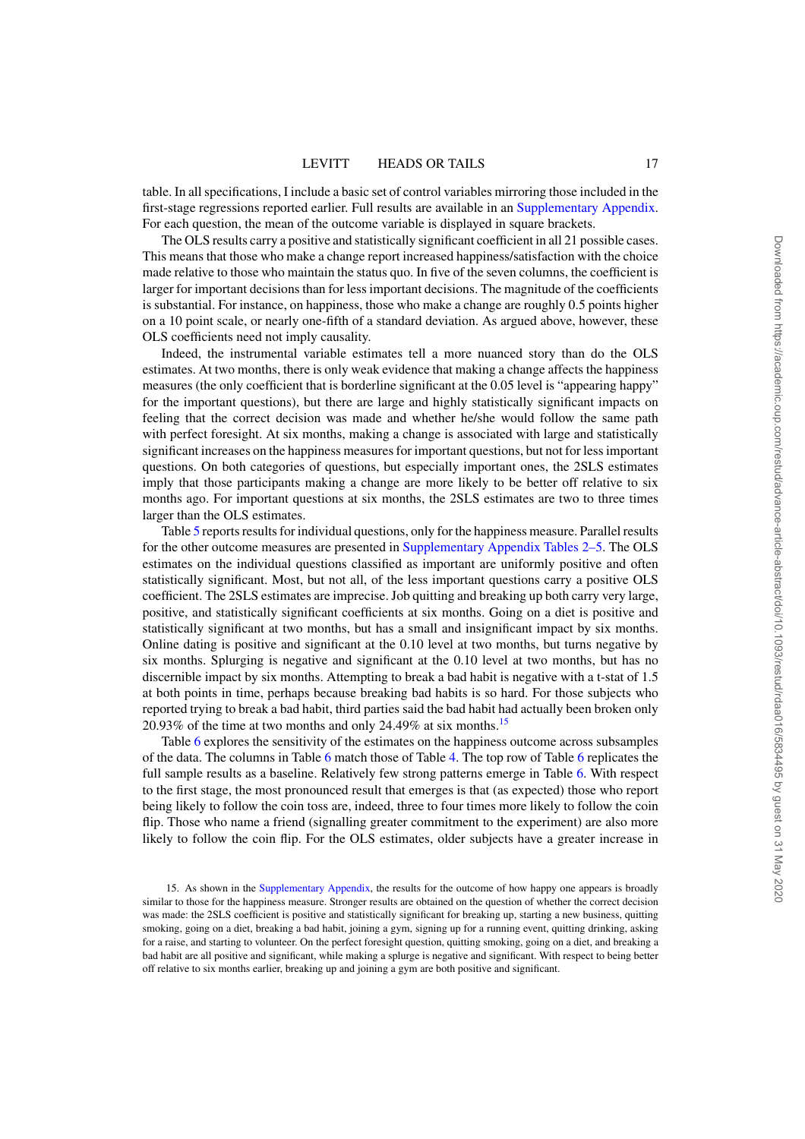table. In all specifications, I include a basic set of control variables mirroring those included in the first-stage regressions reported earlier. Full results are available in an Supplementary Appendix. For each question, the mean of the outcome variable is displayed in square brackets.

The OLS results carry a positive and statistically significant coefficient in all 21 possible cases. This means that those who make a change report increased happiness/satisfaction with the choice made relative to those who maintain the status quo. In five of the seven columns, the coefficient is larger for important decisions than for less important decisions. The magnitude of the coefficients is substantial. For instance, on happiness, those who make a change are roughly 0.5 points higher on a 10 point scale, or nearly one-fifth of a standard deviation. As argued above, however, these OLS coefficients need not imply causality.

Indeed, the instrumental variable estimates tell a more nuanced story than do the OLS estimates. At two months, there is only weak evidence that making a change affects the happiness measures (the only coefficient that is borderline significant at the 0.05 level is "appearing happy" for the important questions), but there are large and highly statistically significant impacts on feeling that the correct decision was made and whether he/she would follow the same path with perfect foresight. At six months, making a change is associated with large and statistically significant increases on the happiness measures for important questions, but not for less important questions. On both categories of questions, but especially important ones, the 2SLS estimates imply that those participants making a change are more likely to be better off relative to six months ago. For important questions at six months, the 2SLS estimates are two to three times larger than the OLS estimates.

Table 5 reports results for individual questions, only for the happiness measure. Parallel results for the other outcome measures are presented in Supplementary Appendix Tables 2–5. The OLS estimates on the individual questions classified as important are uniformly positive and often statistically significant. Most, but not all, of the less important questions carry a positive OLS coefficient. The 2SLS estimates are imprecise. Job quitting and breaking up both carry very large, positive, and statistically significant coefficients at six months. Going on a diet is positive and statistically significant at two months, but has a small and insignificant impact by six months. Online dating is positive and significant at the 0.10 level at two months, but turns negative by six months. Splurging is negative and significant at the 0.10 level at two months, but has no discernible impact by six months. Attempting to break a bad habit is negative with a t-stat of 1.5 at both points in time, perhaps because breaking bad habits is so hard. For those subjects who reported trying to break a bad habit, third parties said the bad habit had actually been broken only 20.93% of the time at two months and only 24.49% at six months.<sup>15</sup>

Table 6 explores the sensitivity of the estimates on the happiness outcome across subsamples of the data. The columns in Table 6 match those of Table 4. The top row of Table 6 replicates the full sample results as a baseline. Relatively few strong patterns emerge in Table 6. With respect to the first stage, the most pronounced result that emerges is that (as expected) those who report being likely to follow the coin toss are, indeed, three to four times more likely to follow the coin flip. Those who name a friend (signalling greater commitment to the experiment) are also more likely to follow the coin flip. For the OLS estimates, older subjects have a greater increase in

<sup>15.</sup> As shown in the Supplementary Appendix, the results for the outcome of how happy one appears is broadly similar to those for the happiness measure. Stronger results are obtained on the question of whether the correct decision was made: the 2SLS coefficient is positive and statistically significant for breaking up, starting a new business, quitting smoking, going on a diet, breaking a bad habit, joining a gym, signing up for a running event, quitting drinking, asking for a raise, and starting to volunteer. On the perfect foresight question, quitting smoking, going on a diet, and breaking a bad habit are all positive and significant, while making a splurge is negative and significant. With respect to being better off relative to six months earlier, breaking up and joining a gym are both positive and significant.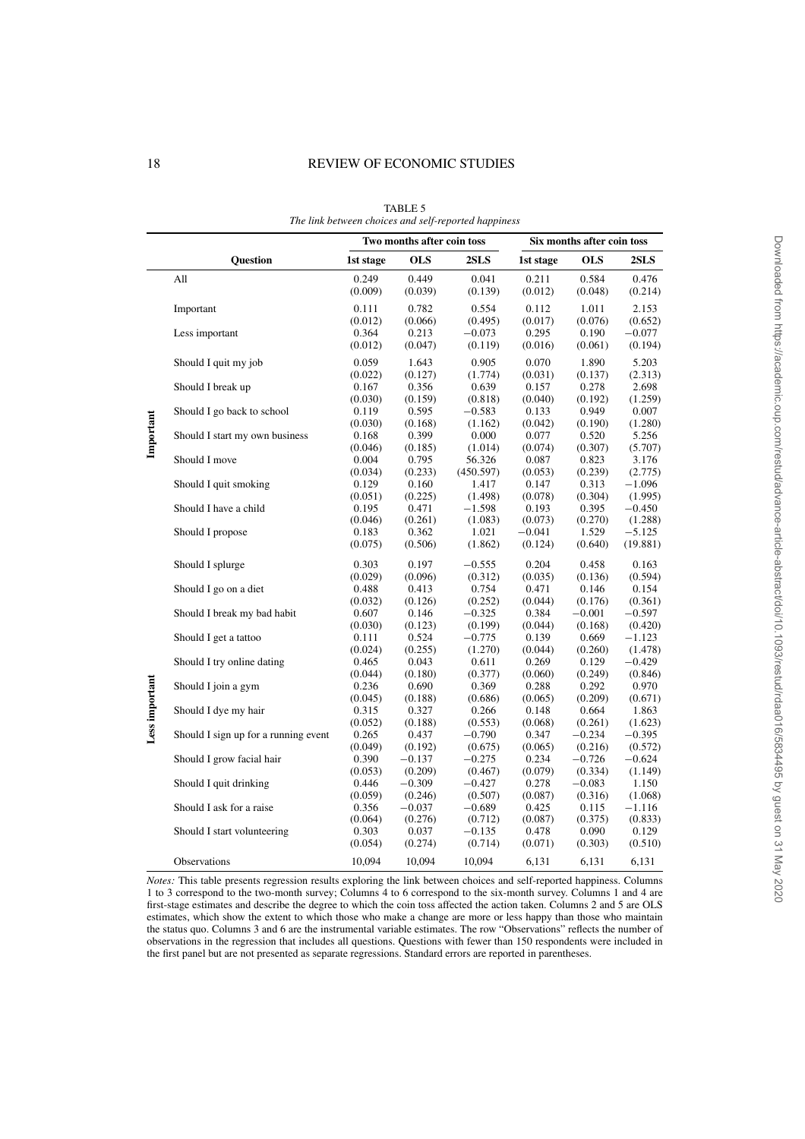|                |                                      |           | Two months after coin toss |           |           | Six months after coin toss |          |
|----------------|--------------------------------------|-----------|----------------------------|-----------|-----------|----------------------------|----------|
|                | <b>Question</b>                      | 1st stage | <b>OLS</b>                 | 2SLS      | 1st stage | <b>OLS</b>                 | 2SLS     |
|                | All                                  | 0.249     | 0.449                      | 0.041     | 0.211     | 0.584                      | 0.476    |
|                |                                      | (0.009)   | (0.039)                    | (0.139)   | (0.012)   | (0.048)                    | (0.214)  |
|                | Important                            | 0.111     | 0.782                      | 0.554     | 0.112     | 1.011                      | 2.153    |
|                |                                      | (0.012)   | (0.066)                    | (0.495)   | (0.017)   | (0.076)                    | (0.652)  |
|                | Less important                       | 0.364     | 0.213                      | $-0.073$  | 0.295     | 0.190                      | $-0.077$ |
|                |                                      | (0.012)   | (0.047)                    | (0.119)   | (0.016)   | (0.061)                    | (0.194)  |
|                | Should I quit my job                 | 0.059     | 1.643                      | 0.905     | 0.070     | 1.890                      | 5.203    |
|                |                                      | (0.022)   | (0.127)                    | (1.774)   | (0.031)   | (0.137)                    | (2.313)  |
|                | Should I break up                    | 0.167     | 0.356                      | 0.639     | 0.157     | 0.278                      | 2.698    |
|                |                                      | (0.030)   | (0.159)                    | (0.818)   | (0.040)   | (0.192)                    | (1.259)  |
|                | Should I go back to school           | 0.119     | 0.595                      | $-0.583$  | 0.133     | 0.949                      | 0.007    |
|                |                                      | (0.030)   | (0.168)                    | (1.162)   | (0.042)   | (0.190)                    | (1.280)  |
|                | Should I start my own business       | 0.168     | 0.399                      | 0.000     | 0.077     | 0.520                      | 5.256    |
| Important      |                                      | (0.046)   | (0.185)                    | (1.014)   | (0.074)   | (0.307)                    | (5.707)  |
|                | Should I move                        | 0.004     | 0.795                      | 56.326    | 0.087     | 0.823                      | 3.176    |
|                |                                      | (0.034)   | (0.233)                    | (450.597) | (0.053)   | (0.239)                    | (2.775)  |
|                | Should I quit smoking                | 0.129     | 0.160                      | 1.417     | 0.147     | 0.313                      | $-1.096$ |
|                |                                      | (0.051)   | (0.225)                    | (1.498)   | (0.078)   | (0.304)                    | (1.995)  |
|                | Should I have a child                | 0.195     | 0.471                      | $-1.598$  | 0.193     | 0.395                      | $-0.450$ |
|                |                                      | (0.046)   | (0.261)                    | (1.083)   | (0.073)   | (0.270)                    | (1.288)  |
|                | Should I propose                     | 0.183     | 0.362                      | 1.021     | $-0.041$  | 1.529                      | $-5.125$ |
|                |                                      | (0.075)   | (0.506)                    | (1.862)   | (0.124)   | (0.640)                    | (19.881) |
|                | Should I splurge                     | 0.303     | 0.197                      | $-0.555$  | 0.204     | 0.458                      | 0.163    |
|                |                                      | (0.029)   | (0.096)                    | (0.312)   | (0.035)   | (0.136)                    | (0.594)  |
|                | Should I go on a diet                | 0.488     | 0.413                      | 0.754     | 0.471     | 0.146                      | 0.154    |
|                |                                      | (0.032)   | (0.126)                    | (0.252)   | (0.044)   | (0.176)                    | (0.361)  |
|                | Should I break my bad habit          | 0.607     | 0.146                      | $-0.325$  | 0.384     | $-0.001$                   | $-0.597$ |
|                |                                      | (0.030)   | (0.123)                    | (0.199)   | (0.044)   | (0.168)                    | (0.420)  |
|                | Should I get a tattoo                | 0.111     | 0.524                      | $-0.775$  | 0.139     | 0.669                      | $-1.123$ |
|                |                                      | (0.024)   | (0.255)                    | (1.270)   | (0.044)   | (0.260)                    | (1.478)  |
|                | Should I try online dating           | 0.465     | 0.043                      | 0.611     | 0.269     | 0.129                      | $-0.429$ |
|                |                                      | (0.044)   | (0.180)                    | (0.377)   | (0.060)   | (0.249)                    | (0.846)  |
| Less important | Should I join a gym                  | 0.236     | 0.690                      | 0.369     | 0.288     | 0.292                      | 0.970    |
|                |                                      | (0.045)   | (0.188)                    | (0.686)   | (0.065)   | (0.209)                    | (0.671)  |
|                | Should I dye my hair                 | 0.315     | 0.327                      | 0.266     | 0.148     | 0.664                      | 1.863    |
|                |                                      | (0.052)   | (0.188)                    | (0.553)   | (0.068)   | (0.261)                    | (1.623)  |
|                | Should I sign up for a running event | 0.265     | 0.437                      | $-0.790$  | 0.347     | $-0.234$                   | $-0.395$ |
|                |                                      | (0.049)   | (0.192)                    | (0.675)   | (0.065)   | (0.216)                    | (0.572)  |
|                | Should I grow facial hair            | 0.390     | $-0.137$                   | $-0.275$  | 0.234     | $-0.726$                   | $-0.624$ |
|                |                                      | (0.053)   | (0.209)                    | (0.467)   | (0.079)   | (0.334)                    | (1.149)  |
|                | Should I quit drinking               | 0.446     | $-0.309$                   | $-0.427$  | 0.278     | $-0.083$                   | 1.150    |
|                |                                      | (0.059)   | (0.246)                    | (0.507)   | (0.087)   | (0.316)                    | (1.068)  |
|                | Should I ask for a raise             | 0.356     | $-0.037$                   | $-0.689$  | 0.425     | 0.115                      | $-1.116$ |
|                |                                      | (0.064)   | (0.276)                    | (0.712)   | (0.087)   | (0.375)                    | (0.833)  |
|                | Should I start volunteering          | 0.303     | 0.037                      | $-0.135$  | 0.478     | 0.090                      | 0.129    |
|                |                                      | (0.054)   | (0.274)                    | (0.714)   | (0.071)   | (0.303)                    | (0.510)  |
|                | Observations                         | 10,094    | 10,094                     | 10,094    | 6,131     | 6,131                      | 6,131    |

TABLE 5 *The link between choices and self-reported happiness*

*Notes:* This table presents regression results exploring the link between choices and self-reported happiness. Columns 1 to 3 correspond to the two-month survey; Columns 4 to 6 correspond to the six-month survey. Columns 1 and 4 are first-stage estimates and describe the degree to which the coin toss affected the action taken. Columns 2 and 5 are OLS estimates, which show the extent to which those who make a change are more or less happy than those who maintain the status quo. Columns 3 and 6 are the instrumental variable estimates. The row "Observations" reflects the number of observations in the regression that includes all questions. Questions with fewer than 150 respondents were included in the first panel but are not presented as separate regressions. Standard errors are reported in parentheses.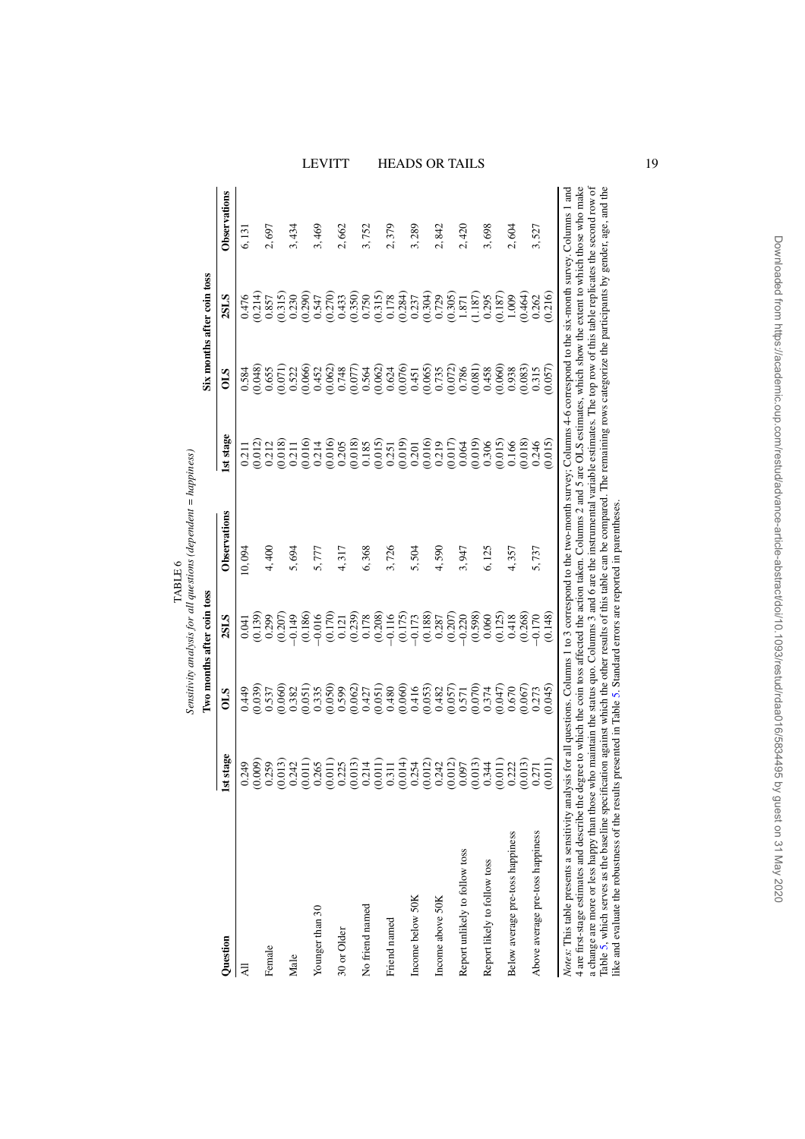|                                                                                                                                                                                                                                                                                                                                                                             |                                                 |              | I'vo months after coin toss                                                                                                                                                                                                                                                                 |                     |                       |     | Six months after coin toss |                     |
|-----------------------------------------------------------------------------------------------------------------------------------------------------------------------------------------------------------------------------------------------------------------------------------------------------------------------------------------------------------------------------|-------------------------------------------------|--------------|---------------------------------------------------------------------------------------------------------------------------------------------------------------------------------------------------------------------------------------------------------------------------------------------|---------------------|-----------------------|-----|----------------------------|---------------------|
| Question                                                                                                                                                                                                                                                                                                                                                                    | stage<br>$\overline{\mathbf{s}}$                | $\mathbf{S}$ | 2SLS                                                                                                                                                                                                                                                                                        | <b>Observations</b> | st stage              | 01S | 2SLS                       | <b>Observations</b> |
| ㅋ                                                                                                                                                                                                                                                                                                                                                                           | 0.249                                           | 0.449        |                                                                                                                                                                                                                                                                                             | 10,094              | 0.211                 |     |                            | 6,131               |
| Female                                                                                                                                                                                                                                                                                                                                                                      | (0.009)<br>0.259                                |              | $\begin{array}{l} 0.041 \\ 0.0403 \\ 0.0504 \\ 0.0604 \\ 0.0704 \\ 0.0704 \\ 0.0704 \\ 0.0704 \\ 0.0704 \\ 0.0704 \\ 0.0704 \\ 0.0704 \\ 0.0704 \\ 0.0704 \\ 0.0704 \\ 0.0704 \\ 0.0704 \\ 0.0704 \\ 0.0704 \\ 0.0060 \\ 0.0060 \\ 0.0060 \\ 0.0060 \\ 0.0060 \\ 0.0060 \\ 0.0060 \\ 0.006$ | 4,400               |                       |     |                            | 2,697               |
|                                                                                                                                                                                                                                                                                                                                                                             |                                                 |              |                                                                                                                                                                                                                                                                                             |                     |                       |     |                            |                     |
| Male                                                                                                                                                                                                                                                                                                                                                                        | $(0.013)$<br>$0.242$                            |              |                                                                                                                                                                                                                                                                                             | 5,694               |                       |     |                            | 3,434               |
|                                                                                                                                                                                                                                                                                                                                                                             | (0.011)                                         |              |                                                                                                                                                                                                                                                                                             |                     |                       |     |                            |                     |
| Younger than 30                                                                                                                                                                                                                                                                                                                                                             | 0.265                                           |              |                                                                                                                                                                                                                                                                                             | 5,777               |                       |     |                            | 3,469               |
|                                                                                                                                                                                                                                                                                                                                                                             | (0.011)                                         |              |                                                                                                                                                                                                                                                                                             |                     |                       |     |                            |                     |
| 30 or Older                                                                                                                                                                                                                                                                                                                                                                 | 0.225                                           |              |                                                                                                                                                                                                                                                                                             | 4,317               |                       |     |                            | 2,662               |
|                                                                                                                                                                                                                                                                                                                                                                             |                                                 |              |                                                                                                                                                                                                                                                                                             |                     |                       |     |                            |                     |
| No friend named                                                                                                                                                                                                                                                                                                                                                             | $\begin{array}{c} (0.013) \\ 0.214 \end{array}$ |              |                                                                                                                                                                                                                                                                                             | 6,368               |                       |     |                            | 3,752               |
|                                                                                                                                                                                                                                                                                                                                                                             |                                                 |              |                                                                                                                                                                                                                                                                                             |                     |                       |     |                            |                     |
| Friend named                                                                                                                                                                                                                                                                                                                                                                | $\begin{array}{c} (0.011) \\ 0.311 \end{array}$ |              |                                                                                                                                                                                                                                                                                             | 3,726               |                       |     |                            | 2,379               |
|                                                                                                                                                                                                                                                                                                                                                                             |                                                 |              |                                                                                                                                                                                                                                                                                             |                     |                       |     |                            |                     |
| Income below 50K                                                                                                                                                                                                                                                                                                                                                            | $(0.014)$<br>0.254                              |              |                                                                                                                                                                                                                                                                                             | 5,504               |                       |     |                            | 3,289               |
|                                                                                                                                                                                                                                                                                                                                                                             |                                                 |              |                                                                                                                                                                                                                                                                                             |                     |                       |     |                            |                     |
| Income above 50K                                                                                                                                                                                                                                                                                                                                                            | $\begin{array}{c} (0.012) \\ 0.242 \end{array}$ |              |                                                                                                                                                                                                                                                                                             | 4,590               |                       |     |                            | 2,842               |
|                                                                                                                                                                                                                                                                                                                                                                             | (0.012)                                         |              |                                                                                                                                                                                                                                                                                             |                     |                       |     |                            |                     |
| Report unlikely to follow toss                                                                                                                                                                                                                                                                                                                                              | 0.097                                           |              |                                                                                                                                                                                                                                                                                             | 3,947               |                       |     |                            | 2,420               |
|                                                                                                                                                                                                                                                                                                                                                                             |                                                 |              |                                                                                                                                                                                                                                                                                             |                     |                       |     |                            |                     |
| Report likely to follow toss                                                                                                                                                                                                                                                                                                                                                | $\begin{array}{c} (0.013) \\ 0.344 \end{array}$ |              |                                                                                                                                                                                                                                                                                             | 6,125               |                       |     |                            | 3,698               |
|                                                                                                                                                                                                                                                                                                                                                                             | (0.011)                                         |              |                                                                                                                                                                                                                                                                                             |                     |                       |     |                            |                     |
| Below average pre-toss happiness                                                                                                                                                                                                                                                                                                                                            | 0.222                                           |              |                                                                                                                                                                                                                                                                                             | 4,357               |                       |     |                            | 2,604               |
|                                                                                                                                                                                                                                                                                                                                                                             | (0.013)                                         |              |                                                                                                                                                                                                                                                                                             |                     |                       |     |                            |                     |
| Above average pre-toss happiness                                                                                                                                                                                                                                                                                                                                            | 0.271                                           |              | $(0.125)$<br>0.418<br>0.268)<br>0.170<br>0.148)                                                                                                                                                                                                                                             | 5,737               | $\frac{0.166}{0.018}$ |     |                            | 3,527               |
|                                                                                                                                                                                                                                                                                                                                                                             | (0.011)                                         | 0.045        |                                                                                                                                                                                                                                                                                             |                     | 0.015                 |     |                            |                     |
| 4 are first-stage estimates and describe the degree to which the coin toss affected the action taken. Columns 2 and 5 are OLS estimates, which show the extent to which those who make<br>Notes: This table presents a sensitivity analysis for all questions. Columns 1 to 3 correspond to the two-month survey; Columns 4-6 correspond to the six-month survey. Columns 1 |                                                 |              |                                                                                                                                                                                                                                                                                             |                     |                       |     |                            | $_{\rm 1\, and}$    |
| a change are more or less happy than those who maintain the status quo. Columns 3 and 6 are the instrumental variable estimates. The top row of this table replicates the second row of                                                                                                                                                                                     |                                                 |              |                                                                                                                                                                                                                                                                                             |                     |                       |     |                            |                     |

TABLE 6<br>Sensitivity analysis for all questions (dependent = happiness) *Sensitivity analysis for all questions (dependent = happiness)*

LEVITT HEADS OR TAILS 19

Notes: This table presents a sensitivity analysis for all questions. Columns 1 to 3 correspond to the two-month survey; Columns 4-6 correspond to the six-month survey. Columns 1 and 4-forest-stage estimates and describe th Table 5, which serves as the baseline specification against which the other results of this table can be compared. The remaining rows categorize the participants by gender, age, and the like and evaluate the robustness of the results presented in Table 5. Standard errors are reported in parentheses.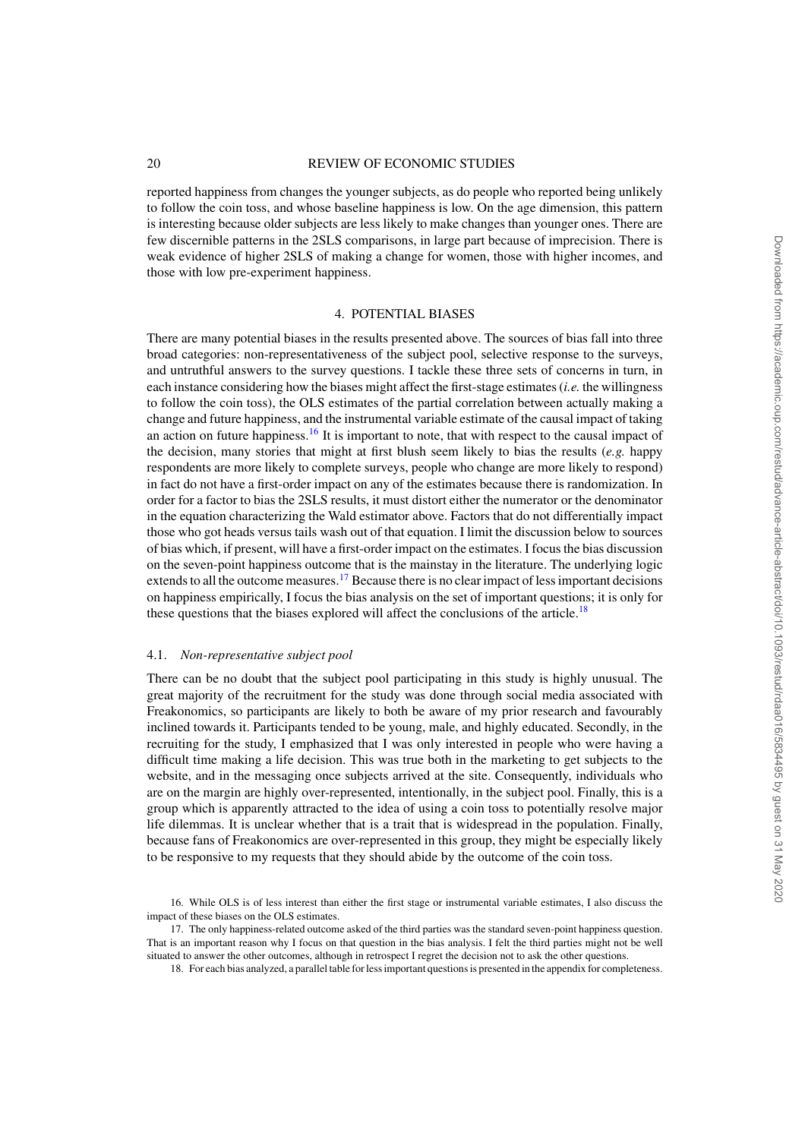reported happiness from changes the younger subjects, as do people who reported being unlikely to follow the coin toss, and whose baseline happiness is low. On the age dimension, this pattern is interesting because older subjects are less likely to make changes than younger ones. There are few discernible patterns in the 2SLS comparisons, in large part because of imprecision. There is weak evidence of higher 2SLS of making a change for women, those with higher incomes, and those with low pre-experiment happiness.

#### 4. POTENTIAL BIASES

There are many potential biases in the results presented above. The sources of bias fall into three broad categories: non-representativeness of the subject pool, selective response to the surveys, and untruthful answers to the survey questions. I tackle these three sets of concerns in turn, in each instance considering how the biases might affect the first-stage estimates (*i.e.* the willingness to follow the coin toss), the OLS estimates of the partial correlation between actually making a change and future happiness, and the instrumental variable estimate of the causal impact of taking an action on future happiness.<sup>16</sup> It is important to note, that with respect to the causal impact of the decision, many stories that might at first blush seem likely to bias the results (*e.g.* happy respondents are more likely to complete surveys, people who change are more likely to respond) in fact do not have a first-order impact on any of the estimates because there is randomization. In order for a factor to bias the 2SLS results, it must distort either the numerator or the denominator in the equation characterizing the Wald estimator above. Factors that do not differentially impact those who got heads versus tails wash out of that equation. I limit the discussion below to sources of bias which, if present, will have a first-order impact on the estimates. I focus the bias discussion on the seven-point happiness outcome that is the mainstay in the literature. The underlying logic extends to all the outcome measures.<sup>17</sup> Because there is no clear impact of less important decisions on happiness empirically, I focus the bias analysis on the set of important questions; it is only for these questions that the biases explored will affect the conclusions of the article.<sup>18</sup>

#### 4.1. *Non-representative subject pool*

There can be no doubt that the subject pool participating in this study is highly unusual. The great majority of the recruitment for the study was done through social media associated with Freakonomics, so participants are likely to both be aware of my prior research and favourably inclined towards it. Participants tended to be young, male, and highly educated. Secondly, in the recruiting for the study, I emphasized that I was only interested in people who were having a difficult time making a life decision. This was true both in the marketing to get subjects to the website, and in the messaging once subjects arrived at the site. Consequently, individuals who are on the margin are highly over-represented, intentionally, in the subject pool. Finally, this is a group which is apparently attracted to the idea of using a coin toss to potentially resolve major life dilemmas. It is unclear whether that is a trait that is widespread in the population. Finally, because fans of Freakonomics are over-represented in this group, they might be especially likely to be responsive to my requests that they should abide by the outcome of the coin toss.

<sup>16.</sup> While OLS is of less interest than either the first stage or instrumental variable estimates, I also discuss the impact of these biases on the OLS estimates.

<sup>17.</sup> The only happiness-related outcome asked of the third parties was the standard seven-point happiness question. That is an important reason why I focus on that question in the bias analysis. I felt the third parties might not be well situated to answer the other outcomes, although in retrospect I regret the decision not to ask the other questions.

<sup>18.</sup> For each bias analyzed, a parallel table for less important questions is presented in the appendix for completeness.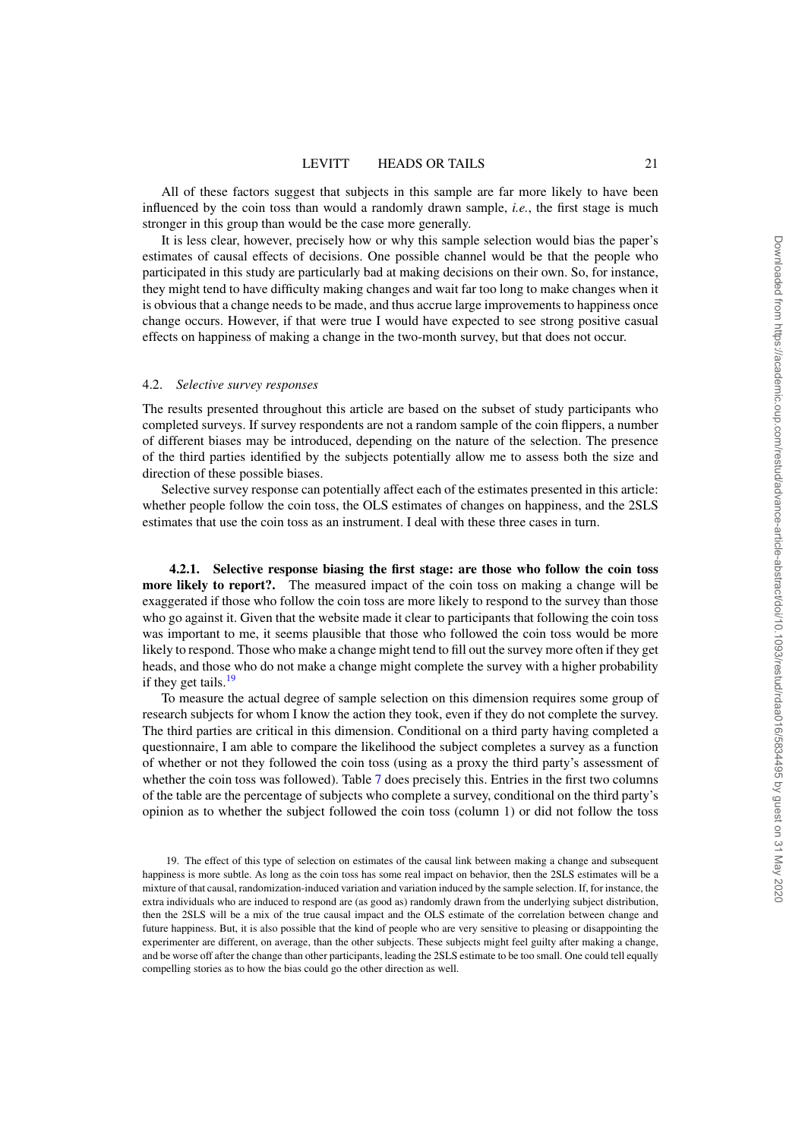All of these factors suggest that subjects in this sample are far more likely to have been influenced by the coin toss than would a randomly drawn sample, *i.e.*, the first stage is much stronger in this group than would be the case more generally.

It is less clear, however, precisely how or why this sample selection would bias the paper's estimates of causal effects of decisions. One possible channel would be that the people who participated in this study are particularly bad at making decisions on their own. So, for instance, they might tend to have difficulty making changes and wait far too long to make changes when it is obvious that a change needs to be made, and thus accrue large improvements to happiness once change occurs. However, if that were true I would have expected to see strong positive casual effects on happiness of making a change in the two-month survey, but that does not occur.

#### 4.2. *Selective survey responses*

The results presented throughout this article are based on the subset of study participants who completed surveys. If survey respondents are not a random sample of the coin flippers, a number of different biases may be introduced, depending on the nature of the selection. The presence of the third parties identified by the subjects potentially allow me to assess both the size and direction of these possible biases.

Selective survey response can potentially affect each of the estimates presented in this article: whether people follow the coin toss, the OLS estimates of changes on happiness, and the 2SLS estimates that use the coin toss as an instrument. I deal with these three cases in turn.

**4.2.1. Selective response biasing the first stage: are those who follow the coin toss more likely to report?.** The measured impact of the coin toss on making a change will be exaggerated if those who follow the coin toss are more likely to respond to the survey than those who go against it. Given that the website made it clear to participants that following the coin toss was important to me, it seems plausible that those who followed the coin toss would be more likely to respond. Those who make a change might tend to fill out the survey more often if they get heads, and those who do not make a change might complete the survey with a higher probability if they get tails. $19$ 

To measure the actual degree of sample selection on this dimension requires some group of research subjects for whom I know the action they took, even if they do not complete the survey. The third parties are critical in this dimension. Conditional on a third party having completed a questionnaire, I am able to compare the likelihood the subject completes a survey as a function of whether or not they followed the coin toss (using as a proxy the third party's assessment of whether the coin toss was followed). Table 7 does precisely this. Entries in the first two columns of the table are the percentage of subjects who complete a survey, conditional on the third party's opinion as to whether the subject followed the coin toss (column 1) or did not follow the toss

19. The effect of this type of selection on estimates of the causal link between making a change and subsequent happiness is more subtle. As long as the coin toss has some real impact on behavior, then the 2SLS estimates will be a mixture of that causal, randomization-induced variation and variation induced by the sample selection. If, for instance, the extra individuals who are induced to respond are (as good as) randomly drawn from the underlying subject distribution, then the 2SLS will be a mix of the true causal impact and the OLS estimate of the correlation between change and future happiness. But, it is also possible that the kind of people who are very sensitive to pleasing or disappointing the experimenter are different, on average, than the other subjects. These subjects might feel guilty after making a change, and be worse off after the change than other participants, leading the 2SLS estimate to be too small. One could tell equally compelling stories as to how the bias could go the other direction as well.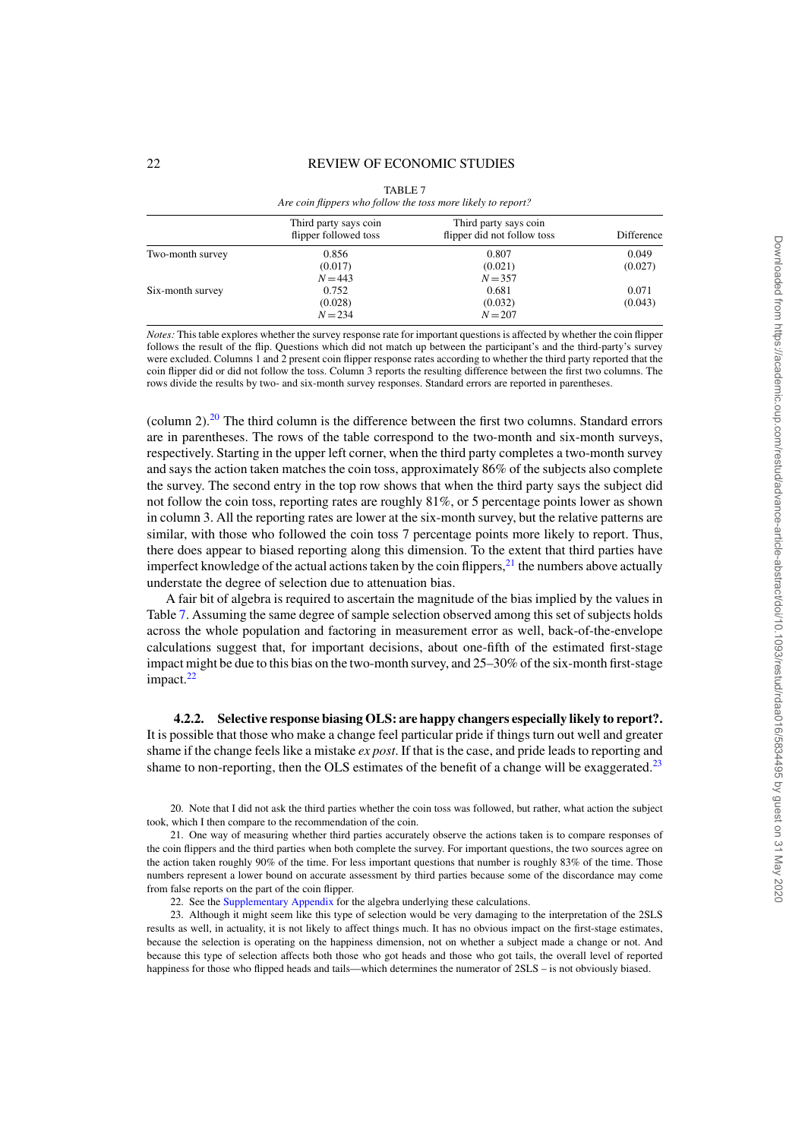|                  | Are coin flippers who follow the toss more likely to report? |                                                      |            |
|------------------|--------------------------------------------------------------|------------------------------------------------------|------------|
|                  | Third party says coin<br>flipper followed toss               | Third party says coin<br>flipper did not follow toss | Difference |
| Two-month survey | 0.856                                                        | 0.807                                                | 0.049      |
|                  | (0.017)                                                      | (0.021)                                              | (0.027)    |
|                  | $N = 443$                                                    | $N = 357$                                            |            |
| Six-month survey | 0.752                                                        | 0.681                                                | 0.071      |
|                  | (0.028)                                                      | (0.032)                                              | (0.043)    |
|                  | $N = 234$                                                    | $N = 207$                                            |            |

TABLE 7

*Notes:* This table explores whether the survey response rate for important questions is affected by whether the coin flipper follows the result of the flip. Questions which did not match up between the participant's and the third-party's survey were excluded. Columns 1 and 2 present coin flipper response rates according to whether the third party reported that the coin flipper did or did not follow the toss. Column 3 reports the resulting difference between the first two columns. The rows divide the results by two- and six-month survey responses. Standard errors are reported in parentheses.

(column  $2$ ).<sup>20</sup> The third column is the difference between the first two columns. Standard errors are in parentheses. The rows of the table correspond to the two-month and six-month surveys, respectively. Starting in the upper left corner, when the third party completes a two-month survey and says the action taken matches the coin toss, approximately 86% of the subjects also complete the survey. The second entry in the top row shows that when the third party says the subject did not follow the coin toss, reporting rates are roughly 81%, or 5 percentage points lower as shown in column 3. All the reporting rates are lower at the six-month survey, but the relative patterns are similar, with those who followed the coin toss 7 percentage points more likely to report. Thus, there does appear to biased reporting along this dimension. To the extent that third parties have imperfect knowledge of the actual actions taken by the coin flippers, $^{21}$  the numbers above actually understate the degree of selection due to attenuation bias.

A fair bit of algebra is required to ascertain the magnitude of the bias implied by the values in Table 7. Assuming the same degree of sample selection observed among this set of subjects holds across the whole population and factoring in measurement error as well, back-of-the-envelope calculations suggest that, for important decisions, about one-fifth of the estimated first-stage impact might be due to this bias on the two-month survey, and 25–30% of the six-month first-stage impact. $22$ 

**4.2.2. Selective response biasing OLS: are happy changers especially likely to report?.** It is possible that those who make a change feel particular pride if things turn out well and greater shame if the change feels like a mistake *ex post*. If that is the case, and pride leads to reporting and shame to non-reporting, then the OLS estimates of the benefit of a change will be exaggerated.<sup>23</sup>

20. Note that I did not ask the third parties whether the coin toss was followed, but rather, what action the subject took, which I then compare to the recommendation of the coin.

21. One way of measuring whether third parties accurately observe the actions taken is to compare responses of the coin flippers and the third parties when both complete the survey. For important questions, the two sources agree on the action taken roughly 90% of the time. For less important questions that number is roughly 83% of the time. Those numbers represent a lower bound on accurate assessment by third parties because some of the discordance may come from false reports on the part of the coin flipper.

22. See the Supplementary Appendix for the algebra underlying these calculations.

23. Although it might seem like this type of selection would be very damaging to the interpretation of the 2SLS results as well, in actuality, it is not likely to affect things much. It has no obvious impact on the first-stage estimates, because the selection is operating on the happiness dimension, not on whether a subject made a change or not. And because this type of selection affects both those who got heads and those who got tails, the overall level of reported happiness for those who flipped heads and tails—which determines the numerator of 2SLS – is not obviously biased.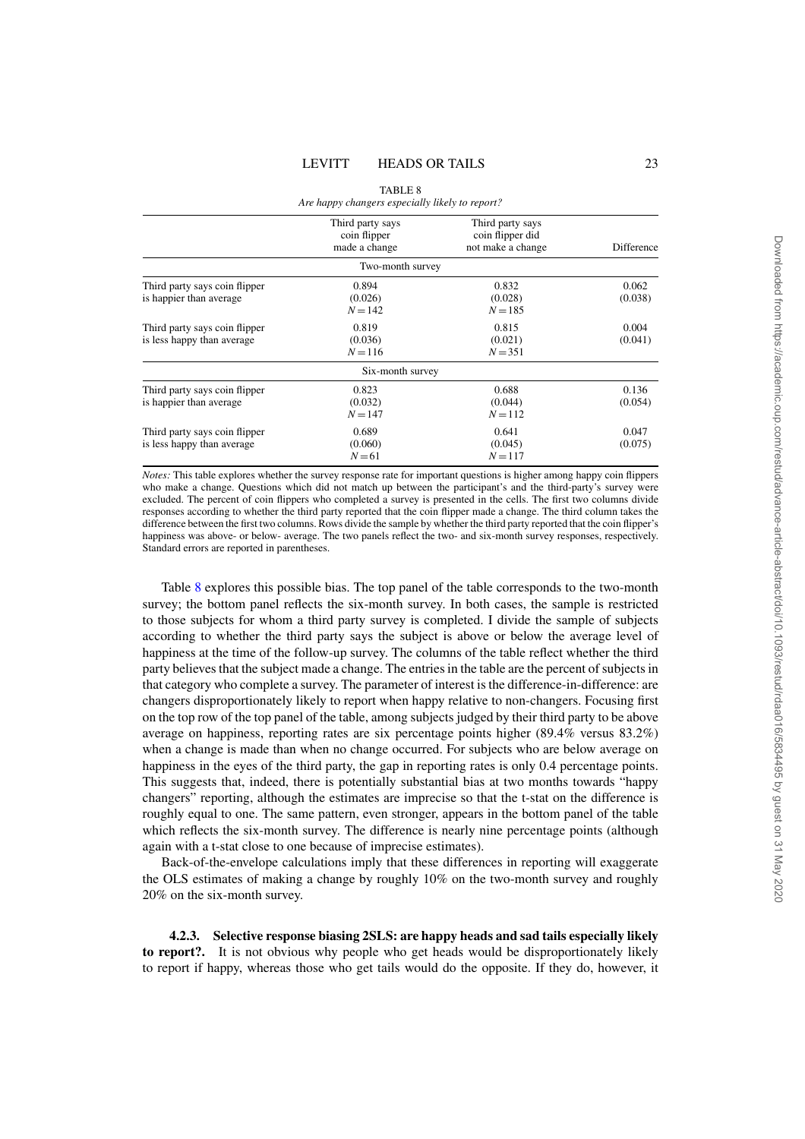|                                                             | <b>TABLE 8</b><br>Are happy changers especially likely to report? |                                                           |                  |
|-------------------------------------------------------------|-------------------------------------------------------------------|-----------------------------------------------------------|------------------|
|                                                             | Third party says<br>coin flipper<br>made a change                 | Third party says<br>coin flipper did<br>not make a change | Difference       |
|                                                             | Two-month survey                                                  |                                                           |                  |
| Third party says coin flipper<br>is happier than average    | 0.894<br>(0.026)<br>$N = 142$                                     | 0.832<br>(0.028)<br>$N = 185$                             | 0.062<br>(0.038) |
| Third party says coin flipper<br>is less happy than average | 0.819<br>(0.036)<br>$N = 116$                                     | 0.815<br>(0.021)<br>$N = 351$                             | 0.004<br>(0.041) |
|                                                             | Six-month survey                                                  |                                                           |                  |
| Third party says coin flipper<br>is happier than average    | 0.823<br>(0.032)<br>$N = 147$                                     | 0.688<br>(0.044)<br>$N = 112$                             | 0.136<br>(0.054) |
| Third party says coin flipper<br>is less happy than average | 0.689<br>(0.060)<br>$N = 61$                                      | 0.641<br>(0.045)<br>$N = 117$                             | 0.047<br>(0.075) |

*Notes:* This table explores whether the survey response rate for important questions is higher among happy coin flippers who make a change. Questions which did not match up between the participant's and the third-party's survey were excluded. The percent of coin flippers who completed a survey is presented in the cells. The first two columns divide responses according to whether the third party reported that the coin flipper made a change. The third column takes the difference between the first two columns. Rows divide the sample by whether the third party reported that the coin flipper's happiness was above- or below- average. The two panels reflect the two- and six-month survey responses, respectively. Standard errors are reported in parentheses.

Table 8 explores this possible bias. The top panel of the table corresponds to the two-month survey; the bottom panel reflects the six-month survey. In both cases, the sample is restricted to those subjects for whom a third party survey is completed. I divide the sample of subjects according to whether the third party says the subject is above or below the average level of happiness at the time of the follow-up survey. The columns of the table reflect whether the third party believes that the subject made a change. The entries in the table are the percent of subjects in that category who complete a survey. The parameter of interest is the difference-in-difference: are changers disproportionately likely to report when happy relative to non-changers. Focusing first on the top row of the top panel of the table, among subjects judged by their third party to be above average on happiness, reporting rates are six percentage points higher (89.4% versus 83.2%) when a change is made than when no change occurred. For subjects who are below average on happiness in the eyes of the third party, the gap in reporting rates is only 0.4 percentage points. This suggests that, indeed, there is potentially substantial bias at two months towards "happy changers" reporting, although the estimates are imprecise so that the t-stat on the difference is roughly equal to one. The same pattern, even stronger, appears in the bottom panel of the table which reflects the six-month survey. The difference is nearly nine percentage points (although again with a t-stat close to one because of imprecise estimates).

Back-of-the-envelope calculations imply that these differences in reporting will exaggerate the OLS estimates of making a change by roughly 10% on the two-month survey and roughly 20% on the six-month survey.

**4.2.3. Selective response biasing 2SLS: are happy heads and sad tails especially likely to report?.** It is not obvious why people who get heads would be disproportionately likely to report if happy, whereas those who get tails would do the opposite. If they do, however, it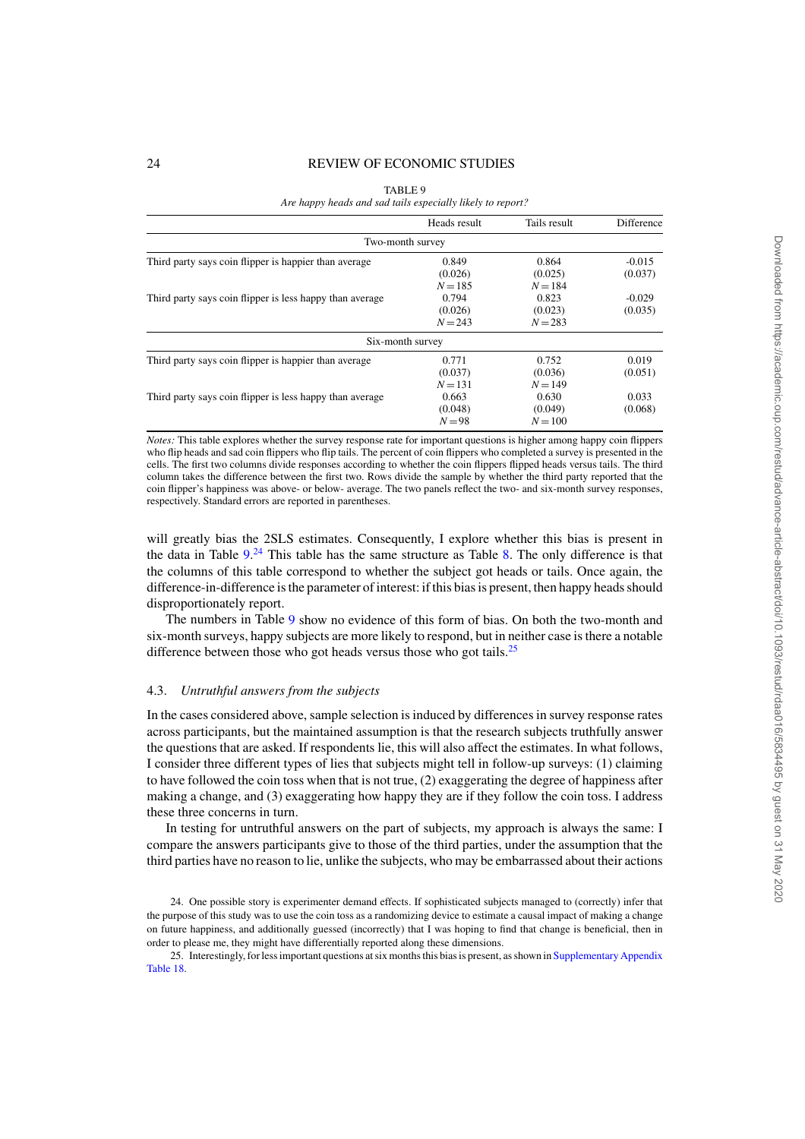#### TABLE 9 *Are happy heads and sad tails especially likely to report?*

|                                                          | Heads result | Tails result | Difference |
|----------------------------------------------------------|--------------|--------------|------------|
| Two-month survey                                         |              |              |            |
| Third party says coin flipper is happier than average    | 0.849        | 0.864        | $-0.015$   |
|                                                          | (0.026)      | (0.025)      | (0.037)    |
|                                                          | $N = 185$    | $N = 184$    |            |
| Third party says coin flipper is less happy than average | 0.794        | 0.823        | $-0.029$   |
|                                                          | (0.026)      | (0.023)      | (0.035)    |
|                                                          | $N = 243$    | $N = 283$    |            |
| Six-month survey                                         |              |              |            |
| Third party says coin flipper is happier than average    | 0.771        | 0.752        | 0.019      |
|                                                          | (0.037)      | (0.036)      | (0.051)    |
|                                                          | $N = 131$    | $N = 149$    |            |
| Third party says coin flipper is less happy than average | 0.663        | 0.630        | 0.033      |
|                                                          | (0.048)      | (0.049)      | (0.068)    |
|                                                          | $N=98$       | $N = 100$    |            |

*Notes:* This table explores whether the survey response rate for important questions is higher among happy coin flippers who flip heads and sad coin flippers who flip tails. The percent of coin flippers who completed a survey is presented in the cells. The first two columns divide responses according to whether the coin flippers flipped heads versus tails. The third column takes the difference between the first two. Rows divide the sample by whether the third party reported that the coin flipper's happiness was above- or below- average. The two panels reflect the two- and six-month survey responses, respectively. Standard errors are reported in parentheses.

will greatly bias the 2SLS estimates. Consequently, I explore whether this bias is present in the data in Table  $9<sup>24</sup>$ . This table has the same structure as Table 8. The only difference is that the columns of this table correspond to whether the subject got heads or tails. Once again, the difference-in-difference is the parameter of interest: if this bias is present, then happy heads should disproportionately report.

The numbers in Table 9 show no evidence of this form of bias. On both the two-month and six-month surveys, happy subjects are more likely to respond, but in neither case is there a notable difference between those who got heads versus those who got tails. $25$ 

#### 4.3. *Untruthful answers from the subjects*

In the cases considered above, sample selection is induced by differences in survey response rates across participants, but the maintained assumption is that the research subjects truthfully answer the questions that are asked. If respondents lie, this will also affect the estimates. In what follows, I consider three different types of lies that subjects might tell in follow-up surveys: (1) claiming to have followed the coin toss when that is not true, (2) exaggerating the degree of happiness after making a change, and (3) exaggerating how happy they are if they follow the coin toss. I address these three concerns in turn.

In testing for untruthful answers on the part of subjects, my approach is always the same: I compare the answers participants give to those of the third parties, under the assumption that the third parties have no reason to lie, unlike the subjects, who may be embarrassed about their actions

<sup>24.</sup> One possible story is experimenter demand effects. If sophisticated subjects managed to (correctly) infer that the purpose of this study was to use the coin toss as a randomizing device to estimate a causal impact of making a change on future happiness, and additionally guessed (incorrectly) that I was hoping to find that change is beneficial, then in order to please me, they might have differentially reported along these dimensions.

<sup>25.</sup> Interestingly, for less important questions at six months this bias is present, as shown in Supplementary Appendix Table 18.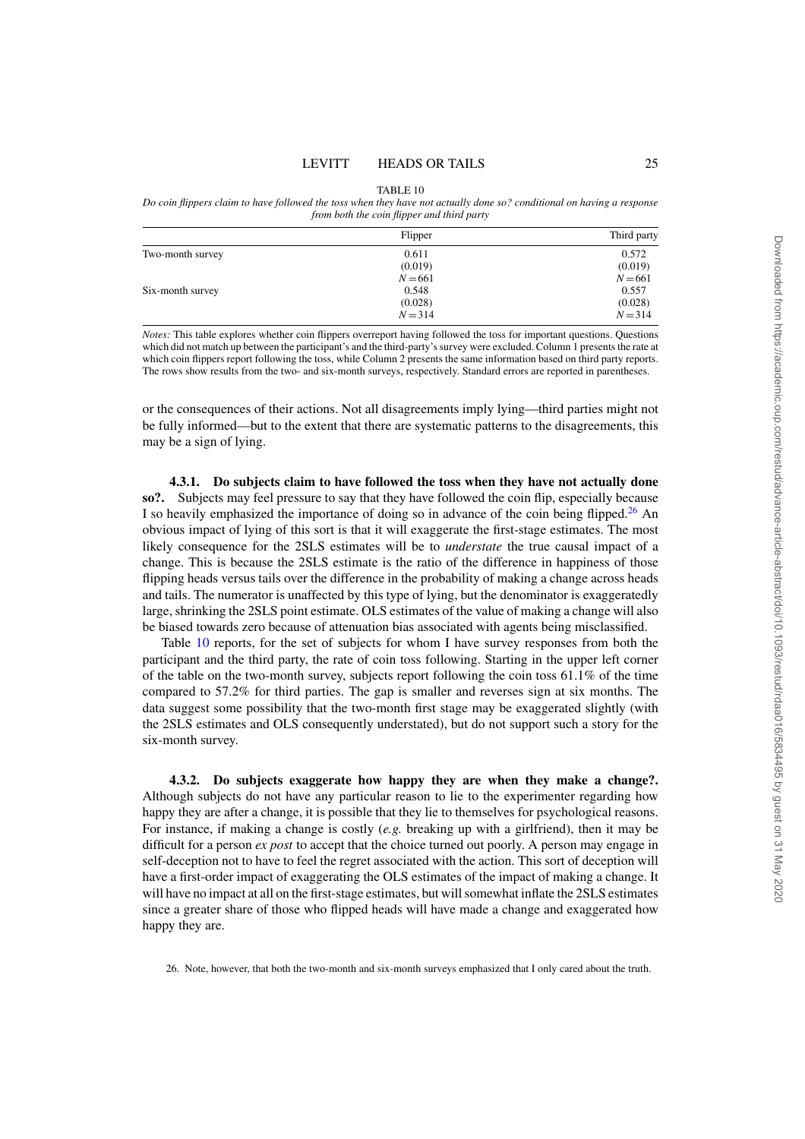TABLE 10

*Do coin flippers claim to have followed the toss when they have not actually done so? conditional on having a response from both the coin flipper and third party*

|                  | Flipper   | Third party |
|------------------|-----------|-------------|
| Two-month survey | 0.611     | 0.572       |
|                  | (0.019)   | (0.019)     |
|                  | $N = 661$ | $N = 661$   |
| Six-month survey | 0.548     | 0.557       |
|                  | (0.028)   | (0.028)     |
|                  | $N = 314$ | $N = 314$   |

*Notes:* This table explores whether coin flippers overreport having followed the toss for important questions. Questions which did not match up between the participant's and the third-party's survey were excluded. Column 1 presents the rate at which coin flippers report following the toss, while Column 2 presents the same information based on third party reports. The rows show results from the two- and six-month surveys, respectively. Standard errors are reported in parentheses.

or the consequences of their actions. Not all disagreements imply lying—third parties might not be fully informed—but to the extent that there are systematic patterns to the disagreements, this may be a sign of lying.

**4.3.1. Do subjects claim to have followed the toss when they have not actually done so?.** Subjects may feel pressure to say that they have followed the coin flip, especially because I so heavily emphasized the importance of doing so in advance of the coin being flipped.<sup>26</sup> An obvious impact of lying of this sort is that it will exaggerate the first-stage estimates. The most likely consequence for the 2SLS estimates will be to *understate* the true causal impact of a change. This is because the 2SLS estimate is the ratio of the difference in happiness of those flipping heads versus tails over the difference in the probability of making a change across heads and tails. The numerator is unaffected by this type of lying, but the denominator is exaggeratedly large, shrinking the 2SLS point estimate. OLS estimates of the value of making a change will also be biased towards zero because of attenuation bias associated with agents being misclassified.

Table 10 reports, for the set of subjects for whom I have survey responses from both the participant and the third party, the rate of coin toss following. Starting in the upper left corner of the table on the two-month survey, subjects report following the coin toss 61.1% of the time compared to 57.2% for third parties. The gap is smaller and reverses sign at six months. The data suggest some possibility that the two-month first stage may be exaggerated slightly (with the 2SLS estimates and OLS consequently understated), but do not support such a story for the six-month survey.

**4.3.2. Do subjects exaggerate how happy they are when they make a change?.** Although subjects do not have any particular reason to lie to the experimenter regarding how happy they are after a change, it is possible that they lie to themselves for psychological reasons. For instance, if making a change is costly (*e.g.* breaking up with a girlfriend), then it may be difficult for a person *ex post* to accept that the choice turned out poorly. A person may engage in self-deception not to have to feel the regret associated with the action. This sort of deception will have a first-order impact of exaggerating the OLS estimates of the impact of making a change. It will have no impact at all on the first-stage estimates, but will somewhat inflate the 2SLS estimates since a greater share of those who flipped heads will have made a change and exaggerated how happy they are.

26. Note, however, that both the two-month and six-month surveys emphasized that I only cared about the truth.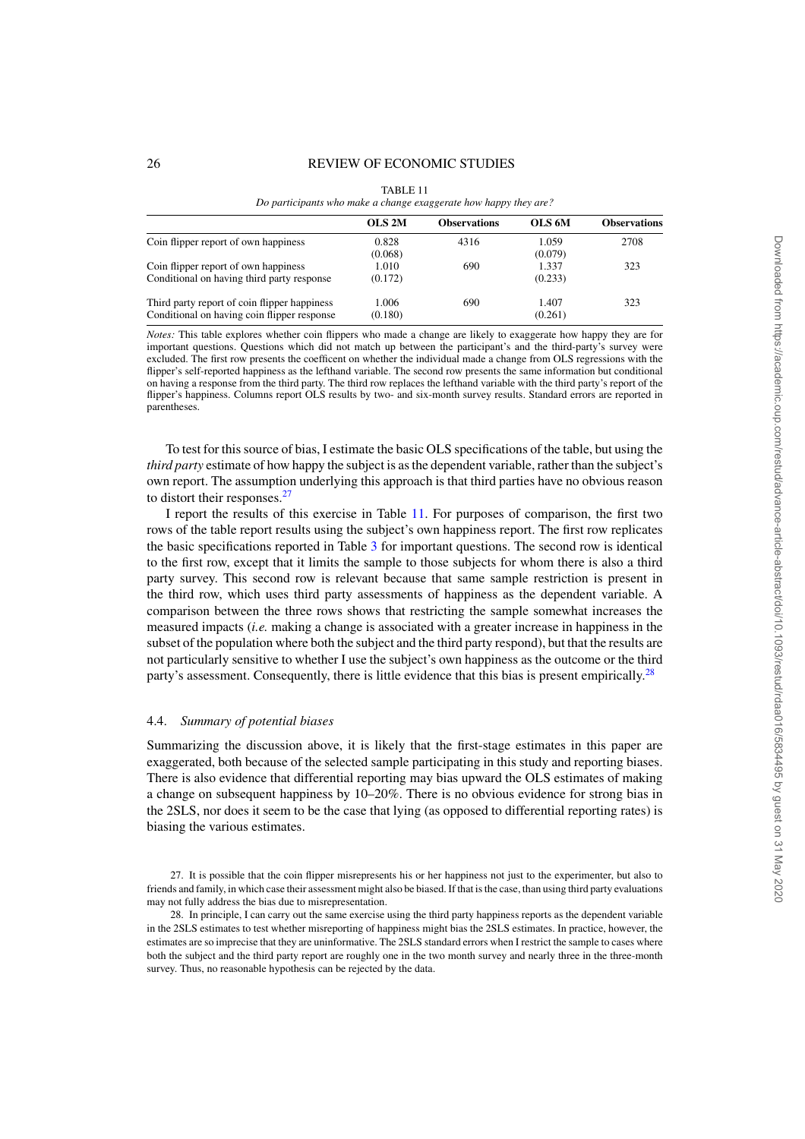| TABLE 11 |  |
|----------|--|

|  | Do participants who make a change exaggerate how happy they are? |  |  |  |  |  |  |  |  |
|--|------------------------------------------------------------------|--|--|--|--|--|--|--|--|
|--|------------------------------------------------------------------|--|--|--|--|--|--|--|--|

|                                                                                             | OLS 2M           | <b>Observations</b> | OLS 6M           | <b>Observations</b> |
|---------------------------------------------------------------------------------------------|------------------|---------------------|------------------|---------------------|
| Coin flipper report of own happiness                                                        | 0.828<br>(0.068) | 4316                | 1.059<br>(0.079) | 2708                |
| Coin flipper report of own happiness<br>Conditional on having third party response          | 1.010<br>(0.172) | 690                 | 1.337<br>(0.233) | 323                 |
| Third party report of coin flipper happiness<br>Conditional on having coin flipper response | 1.006<br>(0.180) | 690                 | 1.407<br>(0.261) | 323                 |

*Notes:* This table explores whether coin flippers who made a change are likely to exaggerate how happy they are for important questions. Questions which did not match up between the participant's and the third-party's survey were excluded. The first row presents the coefficent on whether the individual made a change from OLS regressions with the flipper's self-reported happiness as the lefthand variable. The second row presents the same information but conditional on having a response from the third party. The third row replaces the lefthand variable with the third party's report of the flipper's happiness. Columns report OLS results by two- and six-month survey results. Standard errors are reported in parentheses.

To test for this source of bias, I estimate the basic OLS specifications of the table, but using the *third party* estimate of how happy the subject is as the dependent variable, rather than the subject's own report. The assumption underlying this approach is that third parties have no obvious reason to distort their responses.<sup>27</sup>

I report the results of this exercise in Table 11. For purposes of comparison, the first two rows of the table report results using the subject's own happiness report. The first row replicates the basic specifications reported in Table 3 for important questions. The second row is identical to the first row, except that it limits the sample to those subjects for whom there is also a third party survey. This second row is relevant because that same sample restriction is present in the third row, which uses third party assessments of happiness as the dependent variable. A comparison between the three rows shows that restricting the sample somewhat increases the measured impacts (*i.e.* making a change is associated with a greater increase in happiness in the subset of the population where both the subject and the third party respond), but that the results are not particularly sensitive to whether I use the subject's own happiness as the outcome or the third party's assessment. Consequently, there is little evidence that this bias is present empirically.<sup>28</sup>

#### 4.4. *Summary of potential biases*

Summarizing the discussion above, it is likely that the first-stage estimates in this paper are exaggerated, both because of the selected sample participating in this study and reporting biases. There is also evidence that differential reporting may bias upward the OLS estimates of making a change on subsequent happiness by 10–20%. There is no obvious evidence for strong bias in the 2SLS, nor does it seem to be the case that lying (as opposed to differential reporting rates) is biasing the various estimates.

27. It is possible that the coin flipper misrepresents his or her happiness not just to the experimenter, but also to friends and family, in which case their assessment might also be biased. If that is the case, than using third party evaluations may not fully address the bias due to misrepresentation.

28. In principle, I can carry out the same exercise using the third party happiness reports as the dependent variable in the 2SLS estimates to test whether misreporting of happiness might bias the 2SLS estimates. In practice, however, the estimates are so imprecise that they are uninformative. The 2SLS standard errors when I restrict the sample to cases where both the subject and the third party report are roughly one in the two month survey and nearly three in the three-month survey. Thus, no reasonable hypothesis can be rejected by the data.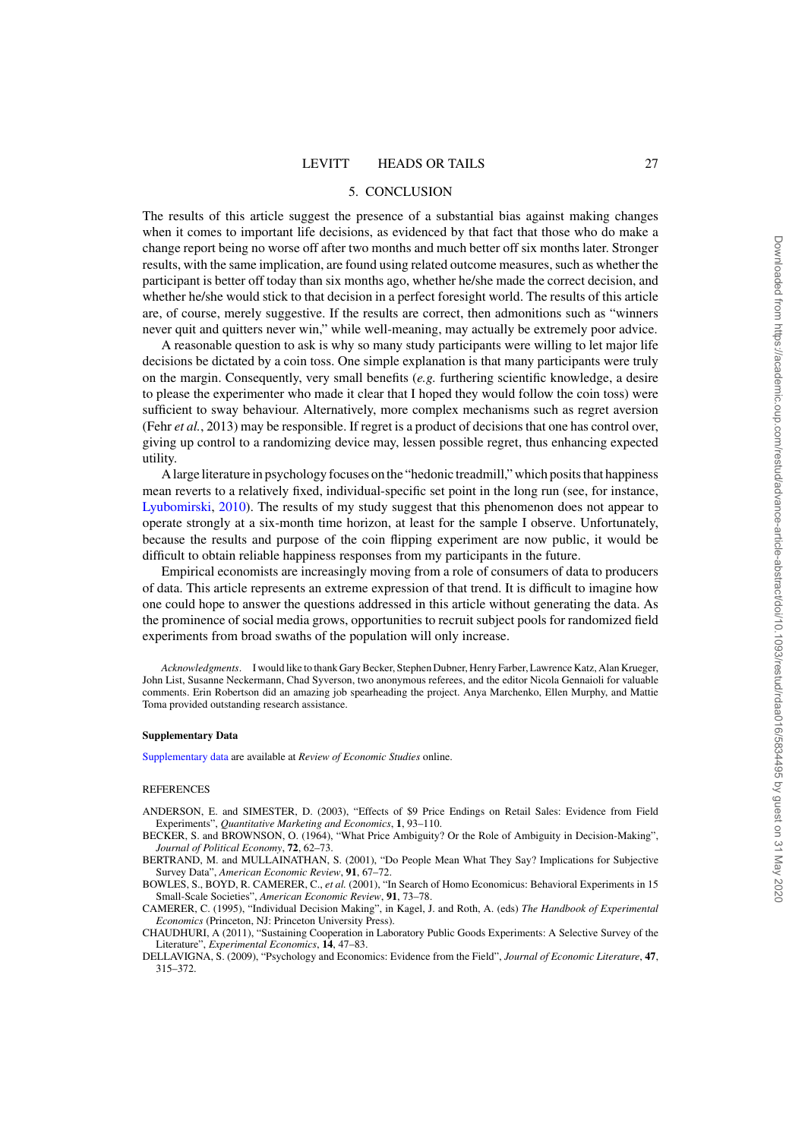#### 5. CONCLUSION

The results of this article suggest the presence of a substantial bias against making changes when it comes to important life decisions, as evidenced by that fact that those who do make a change report being no worse off after two months and much better off six months later. Stronger results, with the same implication, are found using related outcome measures, such as whether the participant is better off today than six months ago, whether he/she made the correct decision, and whether he/she would stick to that decision in a perfect foresight world. The results of this article are, of course, merely suggestive. If the results are correct, then admonitions such as "winners never quit and quitters never win," while well-meaning, may actually be extremely poor advice.

A reasonable question to ask is why so many study participants were willing to let major life decisions be dictated by a coin toss. One simple explanation is that many participants were truly on the margin. Consequently, very small benefits (*e.g.* furthering scientific knowledge, a desire to please the experimenter who made it clear that I hoped they would follow the coin toss) were sufficient to sway behaviour. Alternatively, more complex mechanisms such as regret aversion (Fehr *et al.*, 2013) may be responsible. If regret is a product of decisions that one has control over, giving up control to a randomizing device may, lessen possible regret, thus enhancing expected utility.

A large literature in psychology focuses on the "hedonic treadmill," which posits that happiness mean reverts to a relatively fixed, individual-specific set point in the long run (see, for instance, Lyubomirski, 2010). The results of my study suggest that this phenomenon does not appear to operate strongly at a six-month time horizon, at least for the sample I observe. Unfortunately, because the results and purpose of the coin flipping experiment are now public, it would be difficult to obtain reliable happiness responses from my participants in the future.

Empirical economists are increasingly moving from a role of consumers of data to producers of data. This article represents an extreme expression of that trend. It is difficult to imagine how one could hope to answer the questions addressed in this article without generating the data. As the prominence of social media grows, opportunities to recruit subject pools for randomized field experiments from broad swaths of the population will only increase.

*Acknowledgments*. I would like to thank Gary Becker, Stephen Dubner, Henry Farber, Lawrence Katz, Alan Krueger, John List, Susanne Neckermann, Chad Syverson, two anonymous referees, and the editor Nicola Gennaioli for valuable comments. Erin Robertson did an amazing job spearheading the project. Anya Marchenko, Ellen Murphy, and Mattie Toma provided outstanding research assistance.

#### **Supplementary Data**

Supplementary data are available at *Review of Economic Studies* online.

#### **REFERENCES**

ANDERSON, E. and SIMESTER, D. (2003), "Effects of \$9 Price Endings on Retail Sales: Evidence from Field Experiments", *Quantitative Marketing and Economics*, **1**, 93–110.

BECKER, S. and BROWNSON, O. (1964), "What Price Ambiguity? Or the Role of Ambiguity in Decision-Making", *Journal of Political Economy*, **72**, 62–73.

BERTRAND, M. and MULLAINATHAN, S. (2001), "Do People Mean What They Say? Implications for Subjective Survey Data", *American Economic Review*, **91**, 67–72.

BOWLES, S., BOYD, R. CAMERER, C., *et al.* (2001), "In Search of Homo Economicus: Behavioral Experiments in 15 Small-Scale Societies", *American Economic Review*, **91**, 73–78.

CAMERER, C. (1995), "Individual Decision Making", in Kagel, J. and Roth, A. (eds) *The Handbook of Experimental Economics* (Princeton, NJ: Princeton University Press).

CHAUDHURI, A (2011), "Sustaining Cooperation in Laboratory Public Goods Experiments: A Selective Survey of the Literature", *Experimental Economics*, **14**, 47–83.

DELLAVIGNA, S. (2009), "Psychology and Economics: Evidence from the Field", *Journal of Economic Literature*, **47**, 315–372.